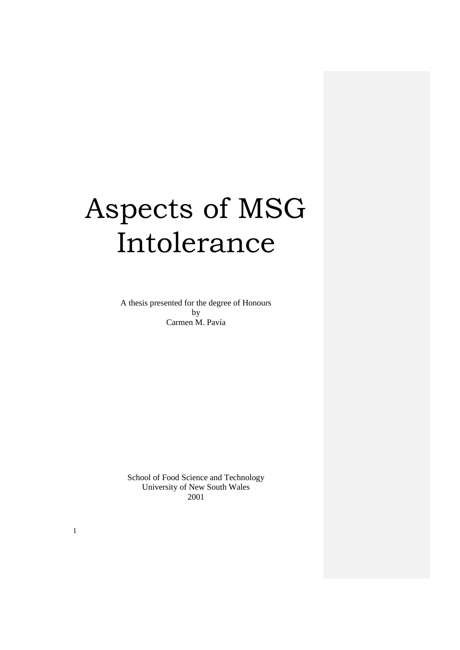# Aspects of MSG Intolerance

A thesis presented for the degree of Honours by Carmen M. Pavía

School of Food Science and Technology University of New South Wales 2001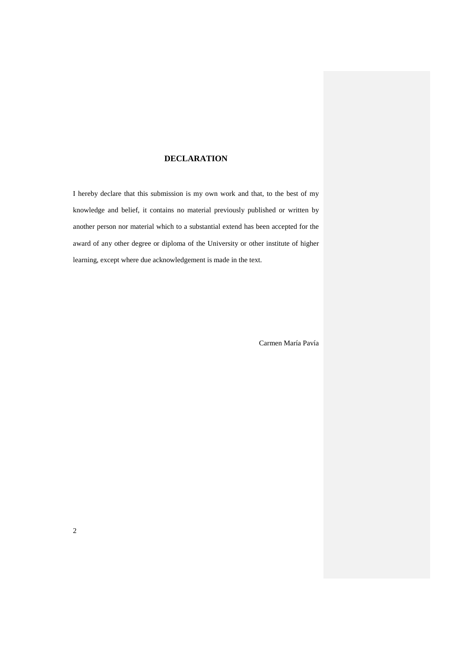# **DECLARATION**

I hereby declare that this submission is my own work and that, to the best of my knowledge and belief, it contains no material previously published or written by another person nor material which to a substantial extend has been accepted for the award of any other degree or diploma of the University or other institute of higher learning, except where due acknowledgement is made in the text.

Carmen María Pavía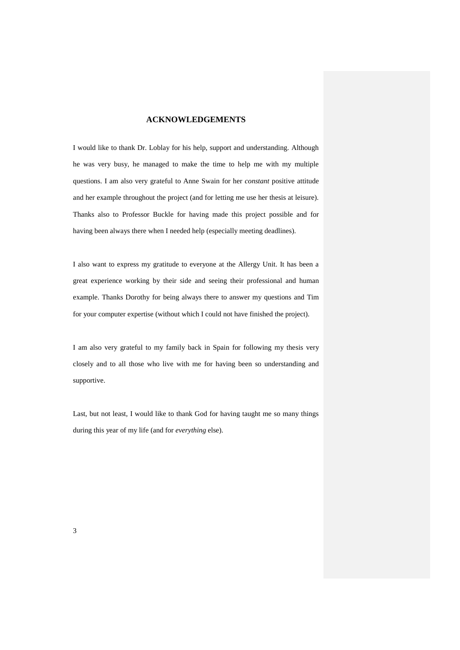## **ACKNOWLEDGEMENTS**

I would like to thank Dr. Loblay for his help, support and understanding. Although he was very busy, he managed to make the time to help me with my multiple questions. I am also very grateful to Anne Swain for her *constant* positive attitude and her example throughout the project (and for letting me use her thesis at leisure). Thanks also to Professor Buckle for having made this project possible and for having been always there when I needed help (especially meeting deadlines).

I also want to express my gratitude to everyone at the Allergy Unit. It has been a great experience working by their side and seeing their professional and human example. Thanks Dorothy for being always there to answer my questions and Tim for your computer expertise (without which I could not have finished the project).

I am also very grateful to my family back in Spain for following my thesis very closely and to all those who live with me for having been so understanding and supportive.

Last, but not least, I would like to thank God for having taught me so many things during this year of my life (and for *everything* else).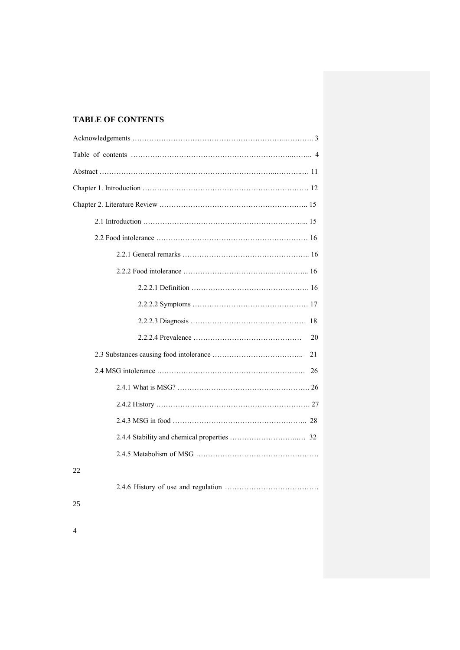# **TABLE OF CONTENTS**

| 20 |  |
|----|--|
| 21 |  |
| 26 |  |
|    |  |
|    |  |
|    |  |
|    |  |
|    |  |
| 22 |  |
|    |  |
| 25 |  |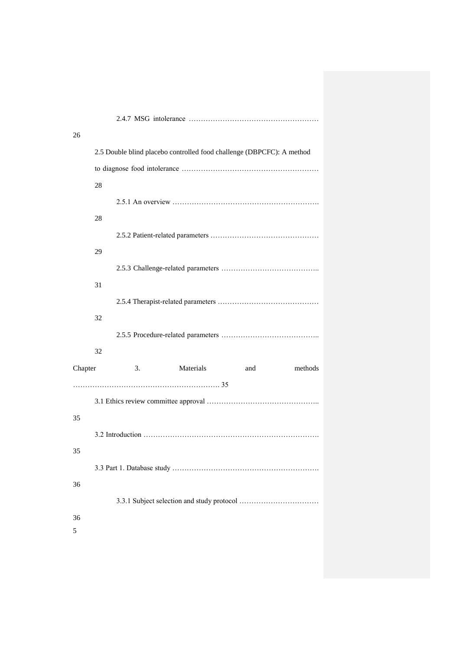| 26      |                                                                       |
|---------|-----------------------------------------------------------------------|
|         | 2.5 Double blind placebo controlled food challenge (DBPCFC): A method |
|         |                                                                       |
|         | 28                                                                    |
|         |                                                                       |
|         | 28                                                                    |
|         |                                                                       |
|         | 29                                                                    |
|         |                                                                       |
|         | 31                                                                    |
|         |                                                                       |
|         | 32                                                                    |
|         |                                                                       |
|         | 32                                                                    |
| Chapter | Materials<br>3.<br>methods<br>and                                     |
|         |                                                                       |
|         |                                                                       |
| 35      |                                                                       |
|         |                                                                       |
| 35      |                                                                       |
|         |                                                                       |
| 36      |                                                                       |
|         |                                                                       |
| 36      |                                                                       |
| 5       |                                                                       |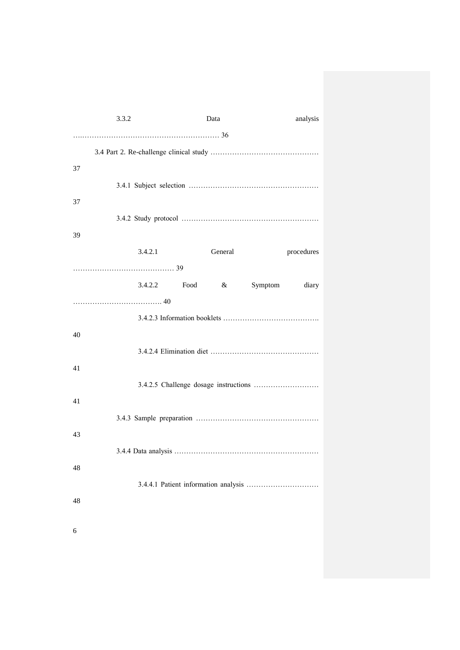|    | 3.3.2   |      | Data    |         | analysis   |
|----|---------|------|---------|---------|------------|
|    |         |      |         |         |            |
|    |         |      |         |         |            |
| 37 |         |      |         |         |            |
|    |         |      |         |         |            |
|    |         |      |         |         |            |
| 37 |         |      |         |         |            |
|    |         |      |         |         |            |
| 39 |         |      |         |         |            |
|    |         |      |         |         |            |
|    | 3.4.2.1 |      | General |         | procedures |
|    |         |      |         |         |            |
|    | 3.4.2.2 | Food | $\&$    | Symptom | diary      |
|    |         |      |         |         |            |
|    |         |      |         |         |            |
|    |         |      |         |         |            |
| 40 |         |      |         |         |            |
|    |         |      |         |         |            |
| 41 |         |      |         |         |            |
|    |         |      |         |         |            |
|    |         |      |         |         |            |
| 41 |         |      |         |         |            |
|    |         |      |         |         |            |
| 43 |         |      |         |         |            |
|    |         |      |         |         |            |
|    |         |      |         |         |            |
| 48 |         |      |         |         |            |
|    |         |      |         |         |            |
| 48 |         |      |         |         |            |
|    |         |      |         |         |            |
| 6  |         |      |         |         |            |
|    |         |      |         |         |            |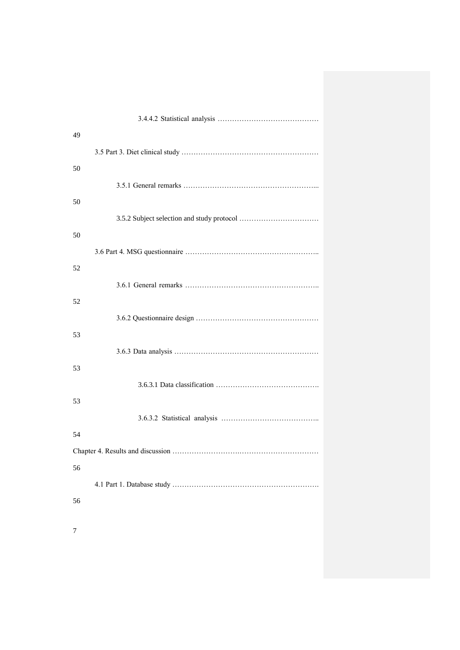| 49 |
|----|
|    |
| 50 |
|    |
| 50 |
|    |
| 50 |
|    |
| 52 |
|    |
| 52 |
|    |
| 53 |
|    |
| 53 |
|    |
| 53 |
|    |
| 54 |
|    |
| 56 |
|    |
| 56 |
|    |
| 7  |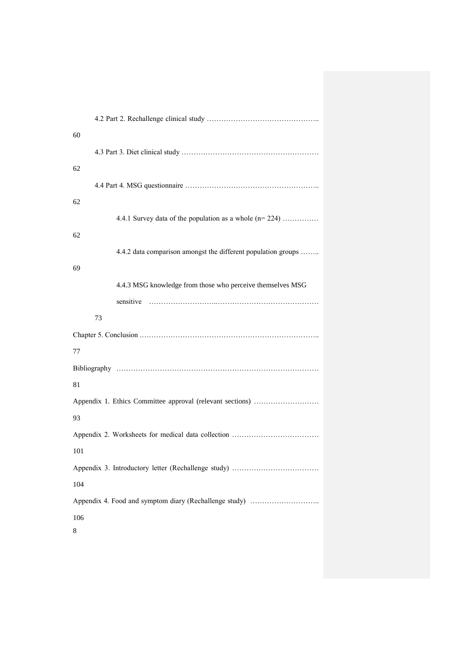| 60                                                            |
|---------------------------------------------------------------|
|                                                               |
| 62                                                            |
|                                                               |
| 62                                                            |
| 4.4.1 Survey data of the population as a whole $(n=224)$      |
| 62                                                            |
| 4.4.2 data comparison amongst the different population groups |
| 69                                                            |
| 4.4.3 MSG knowledge from those who perceive themselves MSG    |
|                                                               |
| 73                                                            |
|                                                               |
| 77                                                            |
|                                                               |
| 81                                                            |
| Appendix 1. Ethics Committee approval (relevant sections)     |
| 93                                                            |
|                                                               |
| 101                                                           |
|                                                               |
| 104                                                           |
|                                                               |
| 106                                                           |
| 8                                                             |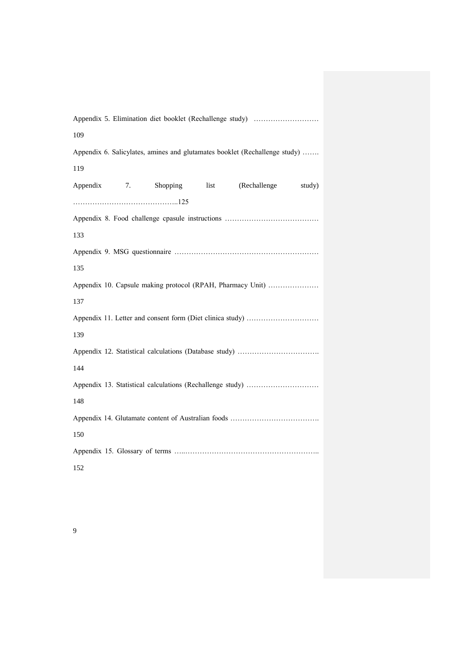|          |  | Appendix 5. Elimination diet booklet (Rechallenge study)                   |      |              |        |
|----------|--|----------------------------------------------------------------------------|------|--------------|--------|
| 109      |  |                                                                            |      |              |        |
|          |  | Appendix 6. Salicylates, amines and glutamates booklet (Rechallenge study) |      |              |        |
| 119      |  |                                                                            |      |              |        |
| Appendix |  | 7. Shopping                                                                | list | (Rechallenge | study) |
|          |  |                                                                            |      |              |        |
|          |  |                                                                            |      |              |        |
| 133      |  |                                                                            |      |              |        |
|          |  |                                                                            |      |              |        |
| 135      |  |                                                                            |      |              |        |
|          |  | Appendix 10. Capsule making protocol (RPAH, Pharmacy Unit)                 |      |              |        |
| 137      |  |                                                                            |      |              |        |
|          |  |                                                                            |      |              |        |
| 139      |  |                                                                            |      |              |        |
|          |  |                                                                            |      |              |        |
| 144      |  |                                                                            |      |              |        |
|          |  |                                                                            |      |              |        |
| 148      |  |                                                                            |      |              |        |
|          |  |                                                                            |      |              |        |
| 150      |  |                                                                            |      |              |        |
|          |  |                                                                            |      |              |        |
| 152      |  |                                                                            |      |              |        |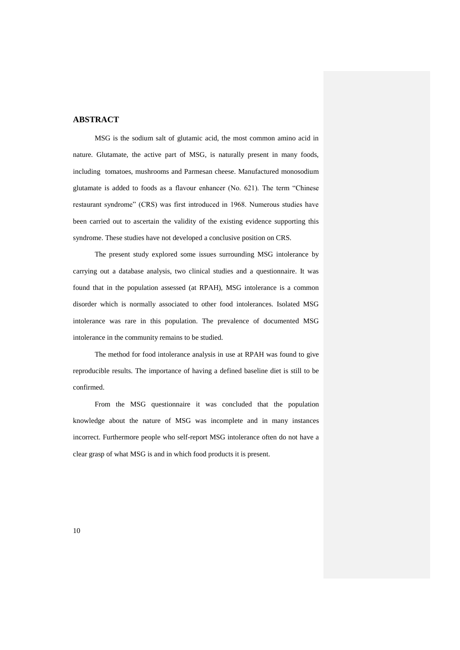#### **ABSTRACT**

MSG is the sodium salt of glutamic acid, the most common amino acid in nature. Glutamate, the active part of MSG, is naturally present in many foods, including tomatoes, mushrooms and Parmesan cheese. Manufactured monosodium glutamate is added to foods as a flavour enhancer (No. 621). The term "Chinese restaurant syndrome" (CRS) was first introduced in 1968. Numerous studies have been carried out to ascertain the validity of the existing evidence supporting this syndrome. These studies have not developed a conclusive position on CRS.

The present study explored some issues surrounding MSG intolerance by carrying out a database analysis, two clinical studies and a questionnaire. It was found that in the population assessed (at RPAH), MSG intolerance is a common disorder which is normally associated to other food intolerances. Isolated MSG intolerance was rare in this population. The prevalence of documented MSG intolerance in the community remains to be studied.

The method for food intolerance analysis in use at RPAH was found to give reproducible results. The importance of having a defined baseline diet is still to be confirmed.

From the MSG questionnaire it was concluded that the population knowledge about the nature of MSG was incomplete and in many instances incorrect. Furthermore people who self-report MSG intolerance often do not have a clear grasp of what MSG is and in which food products it is present.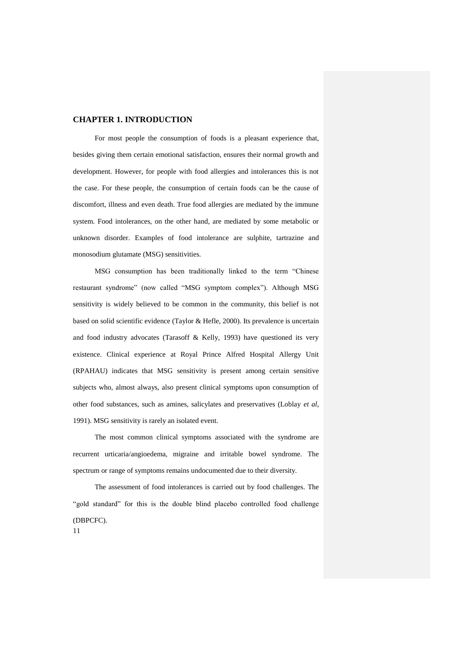#### **CHAPTER 1. INTRODUCTION**

For most people the consumption of foods is a pleasant experience that, besides giving them certain emotional satisfaction, ensures their normal growth and development. However, for people with food allergies and intolerances this is not the case. For these people, the consumption of certain foods can be the cause of discomfort, illness and even death. True food allergies are mediated by the immune system. Food intolerances, on the other hand, are mediated by some metabolic or unknown disorder. Examples of food intolerance are sulphite, tartrazine and monosodium glutamate (MSG) sensitivities.

MSG consumption has been traditionally linked to the term "Chinese restaurant syndrome" (now called "MSG symptom complex"). Although MSG sensitivity is widely believed to be common in the community, this belief is not based on solid scientific evidence (Taylor & Hefle, 2000). Its prevalence is uncertain and food industry advocates (Tarasoff  $\&$  Kelly, 1993) have questioned its very existence. Clinical experience at Royal Prince Alfred Hospital Allergy Unit (RPAHAU) indicates that MSG sensitivity is present among certain sensitive subjects who, almost always, also present clinical symptoms upon consumption of other food substances, such as amines, salicylates and preservatives (Loblay *et al*, 1991). MSG sensitivity is rarely an isolated event.

The most common clinical symptoms associated with the syndrome are recurrent urticaria/angioedema, migraine and irritable bowel syndrome. The spectrum or range of symptoms remains undocumented due to their diversity.

11 The assessment of food intolerances is carried out by food challenges. The "gold standard" for this is the double blind placebo controlled food challenge (DBPCFC).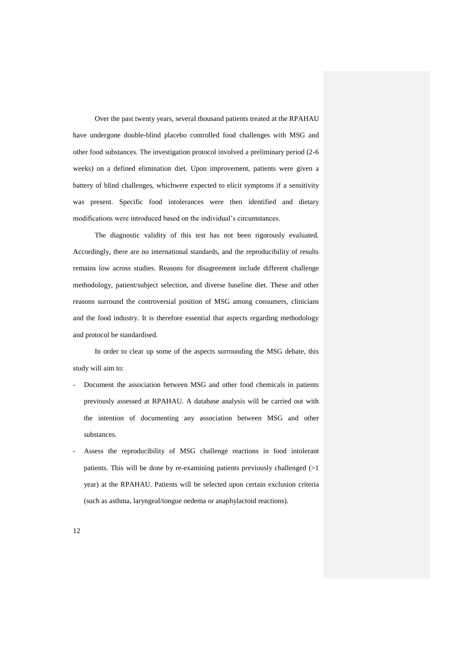Over the past twenty years, several thousand patients treated at the RPAHAU have undergone double-blind placebo controlled food challenges with MSG and other food substances. The investigation protocol involved a preliminary period (2-6 weeks) on a defined elimination diet. Upon improvement, patients were given a battery of blind challenges, whichwere expected to elicit symptoms if a sensitivity was present. Specific food intolerances were then identified and dietary modifications were introduced based on the individual"s circumstances.

The diagnostic validity of this test has not been rigorously evaluated. Accordingly, there are no international standards, and the reproducibility of results remains low across studies. Reasons for disagreement include different challenge methodology, patient/subject selection, and diverse baseline diet. These and other reasons surround the controversial position of MSG among consumers, clinicians and the food industry. It is therefore essential that aspects regarding methodology and protocol be standardised.

In order to clear up some of the aspects surrounding the MSG debate, this study will aim to:

- Document the association between MSG and other food chemicals in patients previously assessed at RPAHAU. A database analysis will be carried out with the intention of documenting any association between MSG and other substances.
- Assess the reproducibility of MSG challenge reactions in food intolerant patients. This will be done by re-examining patients previously challenged (>1 year) at the RPAHAU. Patients will be selected upon certain exclusion criteria (such as asthma, laryngeal/tongue oedema or anaphylactoid reactions).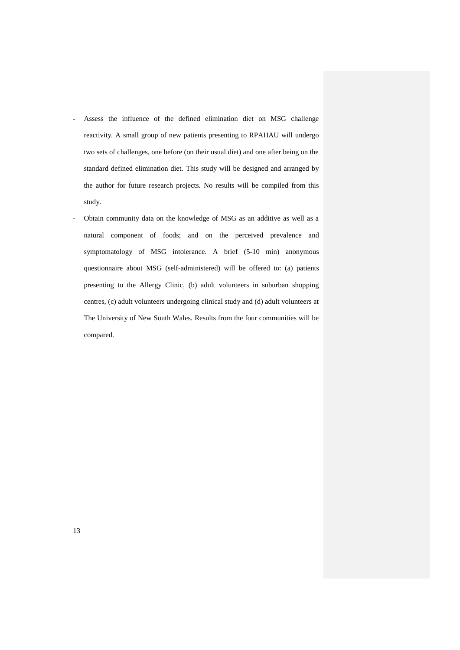- Assess the influence of the defined elimination diet on MSG challenge reactivity. A small group of new patients presenting to RPAHAU will undergo two sets of challenges, one before (on their usual diet) and one after being on the standard defined elimination diet. This study will be designed and arranged by the author for future research projects. No results will be compiled from this study.
- Obtain community data on the knowledge of MSG as an additive as well as a natural component of foods; and on the perceived prevalence and symptomatology of MSG intolerance. A brief (5-10 min) anonymous questionnaire about MSG (self-administered) will be offered to: (a) patients presenting to the Allergy Clinic, (b) adult volunteers in suburban shopping centres, (c) adult volunteers undergoing clinical study and (d) adult volunteers at The University of New South Wales. Results from the four communities will be compared.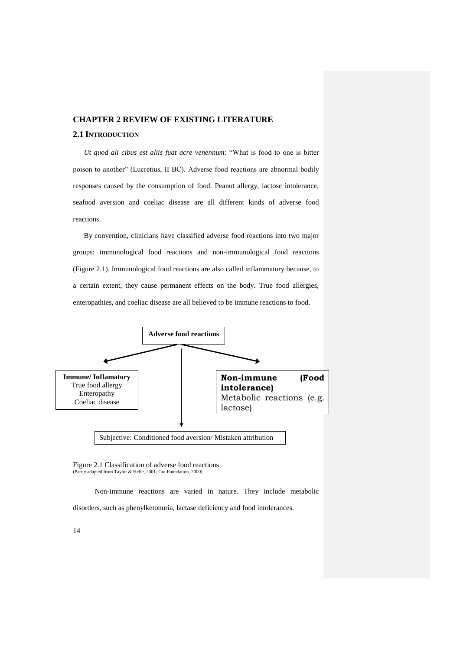# **CHAPTER 2 REVIEW OF EXISTING LITERATURE 2.1 INTRODUCTION**

*Ut quod ali cibus est aliis fuat acre venennum*: "What is food to one is bitter poison to another" (Lucretius, II BC). Adverse food reactions are abnormal bodily responses caused by the consumption of food. Peanut allergy, lactose intolerance, seafood aversion and coeliac disease are all different kinds of adverse food reactions.

By convention, clinicians have classified adverse food reactions into two major groups: immunological food reactions and non-immunological food reactions (Figure 2.1). Immunological food reactions are also called inflammatory because, to a certain extent, they cause permanent effects on the body. True food allergies, enteropathies, and coeliac disease are all believed to be immune reactions to food.



Figure 2.1 Classification of adverse food reactions (Partly adapted from Taylor & Hefle, 2001; Gut Foundation, 2000)

Non-immune reactions are varied in nature. They include metabolic disorders, such as phenylketonuria, lactase deficiency and food intolerances.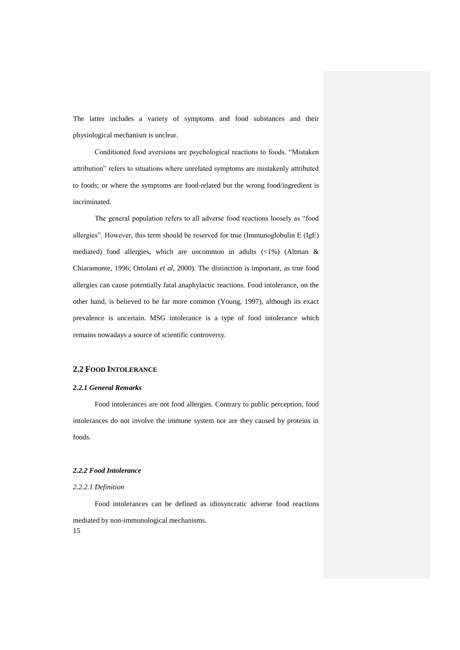The latter includes a variety of symptoms and food substances and their physiological mechanism is unclear.

Conditioned food aversions are psychological reactions to foods. "Mistaken attribution" refers to situations where unrelated symptoms are mistakenly attributed to foods; or where the symptoms are food-related but the wrong food/ingredient is incriminated.

The general population refers to all adverse food reactions loosely as "food allergies". However, this term should be reserved for true (Immunoglobulin E (IgE) mediated) food allergies, which are uncommon in adults  $\left(\langle 1\% \right)$  (Altman & Chiaramonte, 1996; Ortolani *et al,* 2000). The distinction is important, as true food allergies can cause potentially fatal anaphylactic reactions. Food intolerance, on the other hand, is believed to be far more common (Young, 1997), although its exact prevalence is uncertain. MSG intolerance is a type of food intolerance which remains nowadays a source of scientific controversy.

## **2.2 FOOD INTOLERANCE**

#### *2.2.1 General Remarks*

Food intolerances are not food allergies. Contrary to public perception, food intolerances do not involve the immune system nor are they caused by proteins in foods.

## *2.2.2 Food Intolerance*

#### *2.2.2.1 Definition*

15 Food intolerances can be defined as idiosyncratic adverse food reactions mediated by non-immunological mechanisms.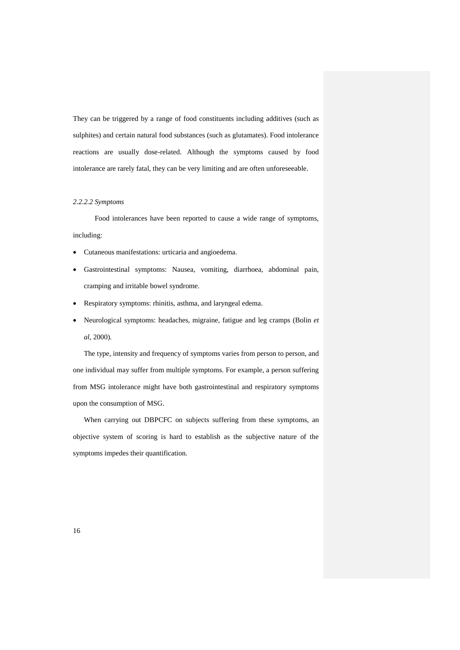They can be triggered by a range of food constituents including additives (such as sulphites) and certain natural food substances (such as glutamates). Food intolerance reactions are usually dose-related. Although the symptoms caused by food intolerance are rarely fatal, they can be very limiting and are often unforeseeable.

### *2.2.2.2 Symptoms*

Food intolerances have been reported to cause a wide range of symptoms, including:

- Cutaneous manifestations: urticaria and angioedema.
- Gastrointestinal symptoms: Nausea, vomiting, diarrhoea, abdominal pain, cramping and irritable bowel syndrome.
- Respiratory symptoms: rhinitis, asthma, and laryngeal edema.
- Neurological symptoms: headaches, migraine, fatigue and leg cramps (Bolin *et al*, 2000).

The type, intensity and frequency of symptoms varies from person to person, and one individual may suffer from multiple symptoms. For example, a person suffering from MSG intolerance might have both gastrointestinal and respiratory symptoms upon the consumption of MSG.

When carrying out DBPCFC on subjects suffering from these symptoms, an objective system of scoring is hard to establish as the subjective nature of the symptoms impedes their quantification.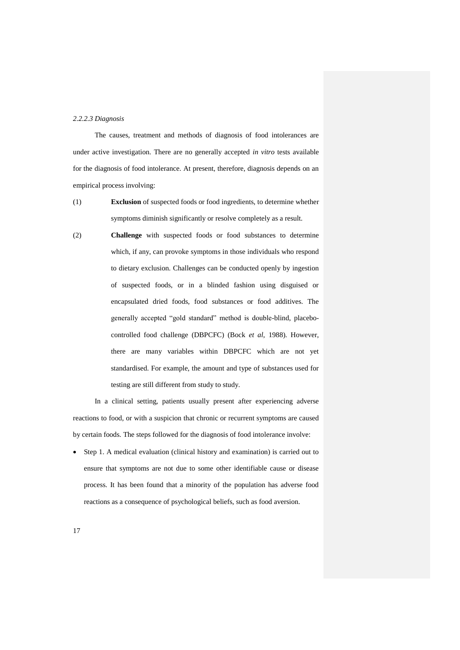#### *2.2.2.3 Diagnosis*

The causes, treatment and methods of diagnosis of food intolerances are under active investigation. There are no generally accepted *in vitro* tests available for the diagnosis of food intolerance. At present, therefore, diagnosis depends on an empirical process involving:

- (1) **Exclusion** of suspected foods or food ingredients, to determine whether symptoms diminish significantly or resolve completely as a result.
- (2) **Challenge** with suspected foods or food substances to determine which, if any, can provoke symptoms in those individuals who respond to dietary exclusion. Challenges can be conducted openly by ingestion of suspected foods, or in a blinded fashion using disguised or encapsulated dried foods, food substances or food additives. The generally accepted "gold standard" method is double-blind, placebocontrolled food challenge (DBPCFC) (Bock *et al*, 1988). However, there are many variables within DBPCFC which are not yet standardised. For example, the amount and type of substances used for testing are still different from study to study.

In a clinical setting, patients usually present after experiencing adverse reactions to food, or with a suspicion that chronic or recurrent symptoms are caused by certain foods. The steps followed for the diagnosis of food intolerance involve:

 Step 1. A medical evaluation (clinical history and examination) is carried out to ensure that symptoms are not due to some other identifiable cause or disease process. It has been found that a minority of the population has adverse food reactions as a consequence of psychological beliefs, such as food aversion.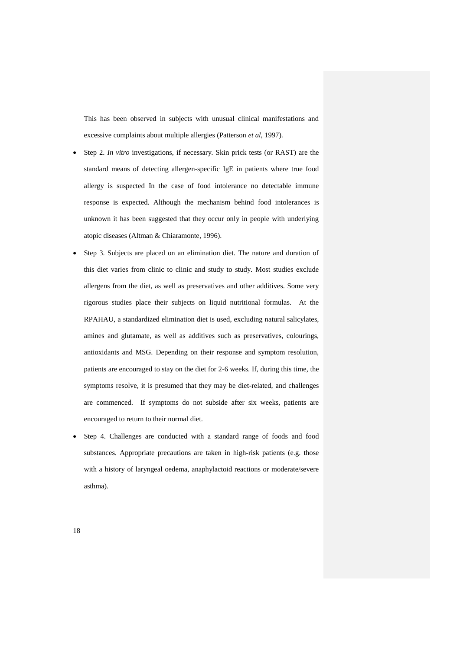This has been observed in subjects with unusual clinical manifestations and excessive complaints about multiple allergies (Patterson *et al*, 1997).

- Step 2. *In vitro* investigations, if necessary. Skin prick tests (or RAST) are the standard means of detecting allergen-specific IgE in patients where true food allergy is suspected In the case of food intolerance no detectable immune response is expected. Although the mechanism behind food intolerances is unknown it has been suggested that they occur only in people with underlying atopic diseases (Altman & Chiaramonte, 1996).
- Step 3. Subjects are placed on an elimination diet. The nature and duration of this diet varies from clinic to clinic and study to study. Most studies exclude allergens from the diet, as well as preservatives and other additives. Some very rigorous studies place their subjects on liquid nutritional formulas. At the RPAHAU, a standardized elimination diet is used, excluding natural salicylates, amines and glutamate, as well as additives such as preservatives, colourings, antioxidants and MSG. Depending on their response and symptom resolution, patients are encouraged to stay on the diet for 2-6 weeks. If, during this time, the symptoms resolve, it is presumed that they may be diet-related, and challenges are commenced. If symptoms do not subside after six weeks, patients are encouraged to return to their normal diet.
- Step 4. Challenges are conducted with a standard range of foods and food substances. Appropriate precautions are taken in high-risk patients (e.g. those with a history of laryngeal oedema, anaphylactoid reactions or moderate/severe asthma).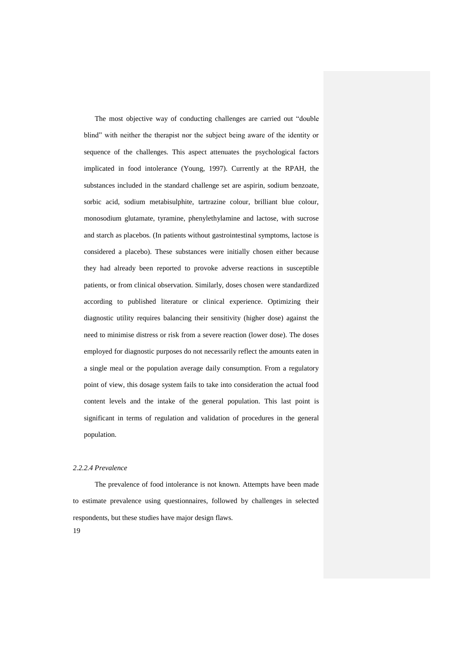The most objective way of conducting challenges are carried out "double blind" with neither the therapist nor the subject being aware of the identity or sequence of the challenges. This aspect attenuates the psychological factors implicated in food intolerance (Young, 1997). Currently at the RPAH, the substances included in the standard challenge set are aspirin, sodium benzoate, sorbic acid, sodium metabisulphite, tartrazine colour, brilliant blue colour, monosodium glutamate, tyramine, phenylethylamine and lactose, with sucrose and starch as placebos. (In patients without gastrointestinal symptoms, lactose is considered a placebo). These substances were initially chosen either because they had already been reported to provoke adverse reactions in susceptible patients, or from clinical observation. Similarly, doses chosen were standardized according to published literature or clinical experience. Optimizing their diagnostic utility requires balancing their sensitivity (higher dose) against the need to minimise distress or risk from a severe reaction (lower dose). The doses employed for diagnostic purposes do not necessarily reflect the amounts eaten in a single meal or the population average daily consumption. From a regulatory point of view, this dosage system fails to take into consideration the actual food content levels and the intake of the general population. This last point is significant in terms of regulation and validation of procedures in the general population.

#### *2.2.2.4 Prevalence*

The prevalence of food intolerance is not known. Attempts have been made to estimate prevalence using questionnaires, followed by challenges in selected respondents, but these studies have major design flaws.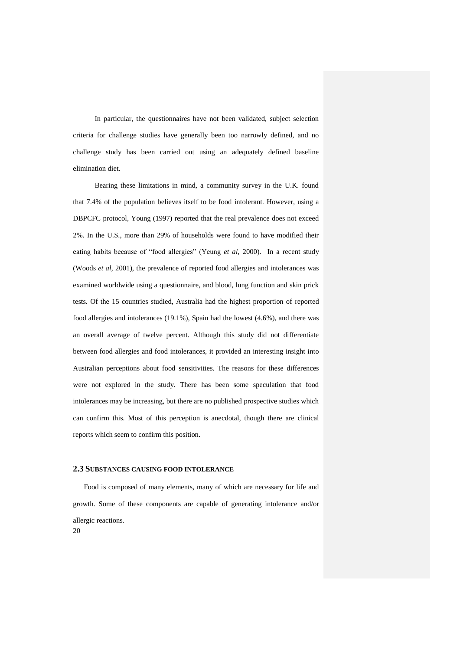In particular, the questionnaires have not been validated, subject selection criteria for challenge studies have generally been too narrowly defined, and no challenge study has been carried out using an adequately defined baseline elimination diet.

Bearing these limitations in mind, a community survey in the U.K. found that 7.4% of the population believes itself to be food intolerant. However, using a DBPCFC protocol, Young (1997) reported that the real prevalence does not exceed 2%. In the U.S., more than 29% of households were found to have modified their eating habits because of "food allergies" (Yeung *et al,* 2000). In a recent study (Woods *et al*, 2001), the prevalence of reported food allergies and intolerances was examined worldwide using a questionnaire, and blood, lung function and skin prick tests. Of the 15 countries studied, Australia had the highest proportion of reported food allergies and intolerances (19.1%), Spain had the lowest (4.6%), and there was an overall average of twelve percent. Although this study did not differentiate between food allergies and food intolerances, it provided an interesting insight into Australian perceptions about food sensitivities. The reasons for these differences were not explored in the study. There has been some speculation that food intolerances may be increasing, but there are no published prospective studies which can confirm this. Most of this perception is anecdotal, though there are clinical reports which seem to confirm this position.

#### **2.3 SUBSTANCES CAUSING FOOD INTOLERANCE**

20 Food is composed of many elements, many of which are necessary for life and growth. Some of these components are capable of generating intolerance and/or allergic reactions.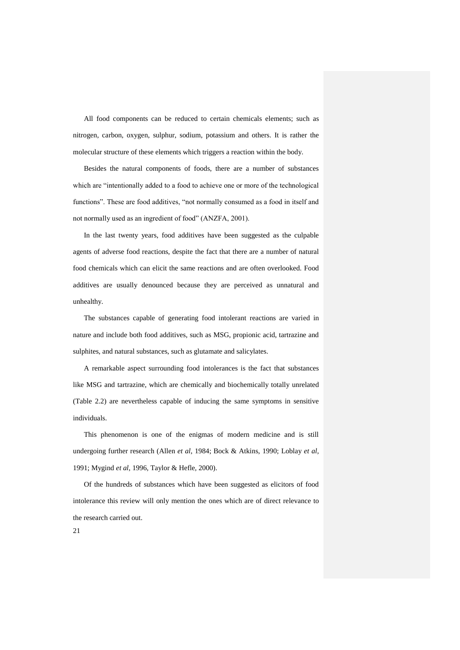All food components can be reduced to certain chemicals elements; such as nitrogen, carbon, oxygen, sulphur, sodium, potassium and others. It is rather the molecular structure of these elements which triggers a reaction within the body.

Besides the natural components of foods, there are a number of substances which are "intentionally added to a food to achieve one or more of the technological functions". These are food additives, "not normally consumed as a food in itself and not normally used as an ingredient of food" (ANZFA, 2001).

In the last twenty years, food additives have been suggested as the culpable agents of adverse food reactions, despite the fact that there are a number of natural food chemicals which can elicit the same reactions and are often overlooked. Food additives are usually denounced because they are perceived as unnatural and unhealthy.

The substances capable of generating food intolerant reactions are varied in nature and include both food additives, such as MSG, propionic acid, tartrazine and sulphites, and natural substances, such as glutamate and salicylates.

A remarkable aspect surrounding food intolerances is the fact that substances like MSG and tartrazine, which are chemically and biochemically totally unrelated (Table 2.2) are nevertheless capable of inducing the same symptoms in sensitive individuals.

This phenomenon is one of the enigmas of modern medicine and is still undergoing further research (Allen *et al*, 1984; Bock & Atkins, 1990; Loblay *et al*, 1991; Mygind *et al*, 1996, Taylor & Hefle, 2000).

Of the hundreds of substances which have been suggested as elicitors of food intolerance this review will only mention the ones which are of direct relevance to the research carried out.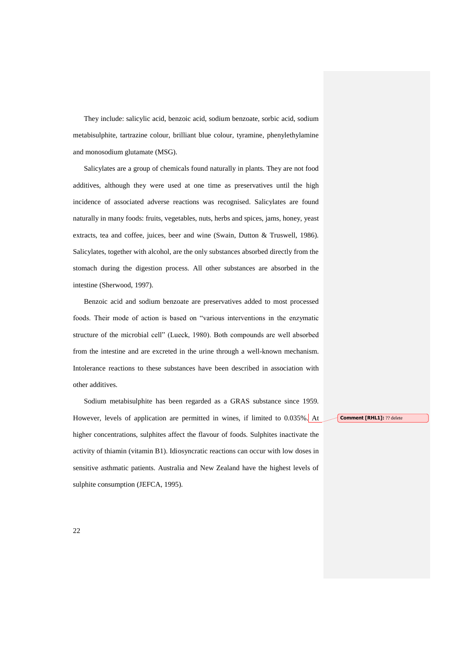They include: salicylic acid, benzoic acid, sodium benzoate, sorbic acid, sodium metabisulphite, tartrazine colour, brilliant blue colour, tyramine, phenylethylamine and monosodium glutamate (MSG).

Salicylates are a group of chemicals found naturally in plants. They are not food additives, although they were used at one time as preservatives until the high incidence of associated adverse reactions was recognised. Salicylates are found naturally in many foods: fruits, vegetables, nuts, herbs and spices, jams, honey, yeast extracts, tea and coffee, juices, beer and wine (Swain, Dutton & Truswell, 1986). Salicylates, together with alcohol, are the only substances absorbed directly from the stomach during the digestion process. All other substances are absorbed in the intestine (Sherwood, 1997).

Benzoic acid and sodium benzoate are preservatives added to most processed foods. Their mode of action is based on "various interventions in the enzymatic structure of the microbial cell" (Lueck, 1980). Both compounds are well absorbed from the intestine and are excreted in the urine through a well-known mechanism. Intolerance reactions to these substances have been described in association with other additives.

Sodium metabisulphite has been regarded as a GRAS substance since 1959. However, levels of application are permitted in wines, if limited to 0.035%. At higher concentrations, sulphites affect the flavour of foods. Sulphites inactivate the activity of thiamin (vitamin B1). Idiosyncratic reactions can occur with low doses in sensitive asthmatic patients. Australia and New Zealand have the highest levels of sulphite consumption (JEFCA, 1995).

**Comment [RHL1]:** ?? delete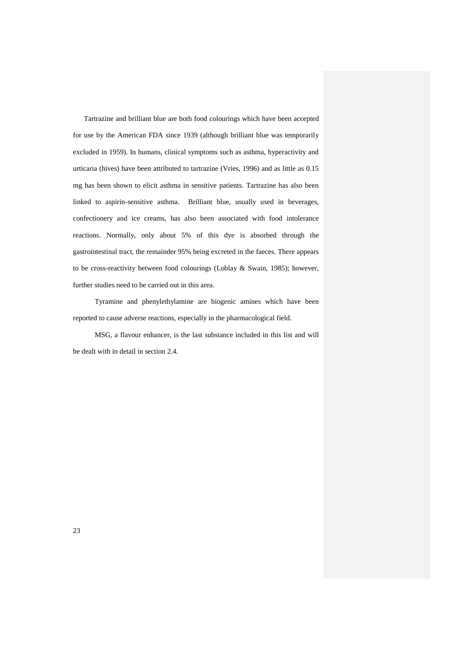Tartrazine and brilliant blue are both food colourings which have been accepted for use by the American FDA since 1939 (although brilliant blue was temporarily excluded in 1959). In humans, clinical symptoms such as asthma, hyperactivity and urticaria (hives) have been attributed to tartrazine (Vries, 1996) and as little as 0.15 mg has been shown to elicit asthma in sensitive patients. Tartrazine has also been linked to aspirin-sensitive asthma. Brilliant blue, usually used in beverages, confectionery and ice creams, has also been associated with food intolerance reactions. Normally, only about 5% of this dye is absorbed through the gastrointestinal tract, the remainder 95% being excreted in the faeces. There appears to be cross-reactivity between food colourings (Loblay & Swain, 1985); however, further studies need to be carried out in this area.

Tyramine and phenylethylamine are biogenic amines which have been reported to cause adverse reactions, especially in the pharmacological field.

MSG, a flavour enhancer, is the last substance included in this list and will be dealt with in detail in section 2.4.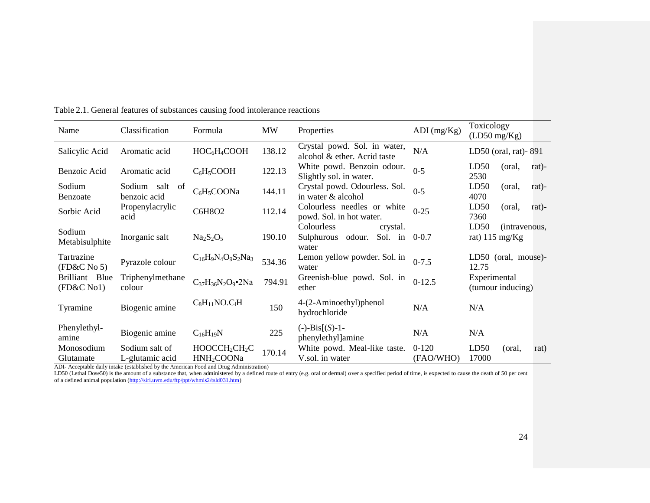| Name                            | Classification                        | Formula                                                         | MW     | Properties                                                               | $ADI$ (mg/ $Kg$ )    | Toxicology<br>$(LD50 \text{ mg/Kg})$              |
|---------------------------------|---------------------------------------|-----------------------------------------------------------------|--------|--------------------------------------------------------------------------|----------------------|---------------------------------------------------|
| Salicylic Acid                  | Aromatic acid                         | HOC <sub>6</sub> H <sub>4</sub> COOH                            | 138.12 | Crystal powd. Sol. in water,<br>alcohol & ether. Acrid taste             | N/A                  | LD50 (oral, rat) - 891                            |
| Benzoic Acid                    | Aromatic acid                         | $C_6H_5COOH$                                                    | 122.13 | White powd. Benzoin odour.<br>Slightly sol. in water.                    | $0 - 5$              | LD50<br>(oral,<br>rat)-<br>2530                   |
| Sodium<br><b>Benzoate</b>       | Sodium<br>salt<br>-of<br>benzoic acid | $C_6H_5COONa$                                                   | 144.11 | Crystal powd. Odourless. Sol.<br>in water & alcohol                      | $0 - 5$              | LD50<br>(oral,<br>rat)-<br>4070                   |
| Sorbic Acid                     | Propenylacrylic<br>acid               | C6H8O2                                                          | 112.14 | Colourless needles or white<br>powd. Sol. in hot water.                  | $0 - 25$             | LD50<br>(oral,<br>rat)-<br>7360                   |
| Sodium<br>Metabisulphite        | Inorganic salt                        | $Na2S2O5$                                                       | 190.10 | Colourless<br>crystal.<br>Sol. in 0-0.7<br>Sulphurous<br>odour.<br>water |                      | LD50<br>(intravenous,<br>rat) $115 \text{ mg/Kg}$ |
| Tartrazine<br>$(FD&C\ No5)$     | Pyrazole colour                       | $C_{16}H_9N_4O_9S_2Na_3$                                        | 534.36 | Lemon yellow powder. Sol. in<br>water                                    | $0 - 7.5$            | $LD50$ (oral, mouse)-<br>12.75                    |
| Brilliant Blue<br>$(FD&C\ No1)$ | Triphenylmethane<br>colour            | $C_{37}H_{36}N_2O_9$ •2Na                                       | 794.91 | Greenish-blue powd. Sol. in<br>ether                                     | $0-12.5$             | Experimental<br>(tumour inducing)                 |
| Tyramine                        | Biogenic amine                        | $C_8H_{11}NO.C_1H$                                              | 150    | 4-(2-Aminoethyl)phenol<br>hydrochloride                                  | N/A                  | N/A                                               |
| Phenylethyl-<br>amine           | Biogenic amine                        | $C_{16}H_{19}N$                                                 | 225    | $(-)$ -Bis $[(S)-1-$<br>phenylethyl]amine                                | N/A                  | N/A                                               |
| Monosodium<br>Glutamate         | Sodium salt of<br>L-glutamic acid     | HOOCCH <sub>2</sub> CH <sub>2</sub> C<br>HNH <sub>2</sub> COONa | 170.14 | White powd. Meal-like taste.<br>V.sol. in water                          | $0-120$<br>(FAO/WHO) | LD50<br>(oral,<br>rat)<br>17000                   |

Table 2.1. General features of substances causing food intolerance reactions

ADI- Acceptable daily intake (established by the American Food and Drug Administration)

LD50 (Lethal Dose50) is the amount of a substance that, when administered by a defined route of entry (e.g. oral or dermal) over a specified period of time, is expected to cause the death of 50 per cent of a defined animal population [\(http://siri.uvm.edu/ftp/ppt/whmis2/tsld031.htm\)](http://siri.uvm.edu/ftp/ppt/whmis2/tsld031.htm)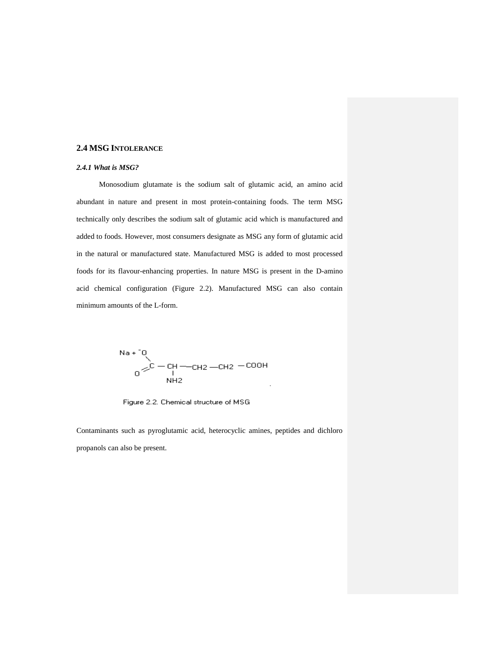#### **2.4 MSG INTOLERANCE**

#### *2.4.1 What is MSG?*

Monosodium glutamate is the sodium salt of glutamic acid, an amino acid abundant in nature and present in most protein-containing foods. The term MSG technically only describes the sodium salt of glutamic acid which is manufactured and added to foods. However, most consumers designate as MSG any form of glutamic acid in the natural or manufactured state. Manufactured MSG is added to most processed foods for its flavour-enhancing properties. In nature MSG is present in the D-amino acid chemical configuration (Figure 2.2). Manufactured MSG can also contain minimum amounts of the L-form.

$$
N_{a} + \begin{matrix} 0 \\ 0 \end{matrix} - CH - CH2 - CH2 - COOH \\ 0 \end{matrix}
$$

Figure 2.2. Chemical structure of MSG

Contaminants such as pyroglutamic acid, heterocyclic amines, peptides and dichloro propanols can also be present.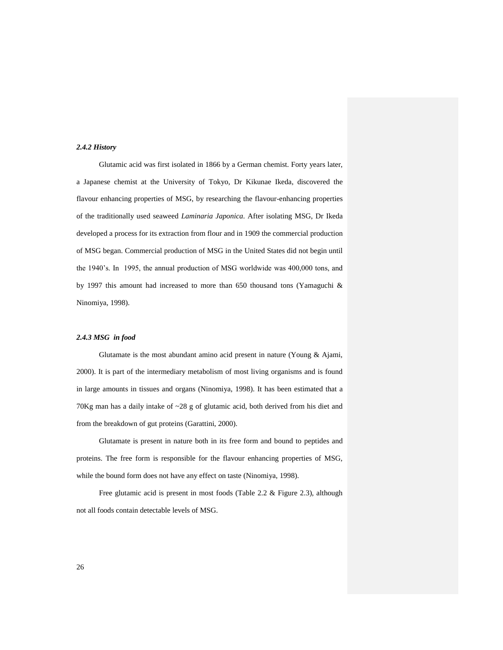#### *2.4.2 History*

Glutamic acid was first isolated in 1866 by a German chemist. Forty years later, a Japanese chemist at the University of Tokyo, Dr Kikunae Ikeda, discovered the flavour enhancing properties of MSG, by researching the flavour-enhancing properties of the traditionally used seaweed *Laminaria Japonica*. After isolating MSG, Dr Ikeda developed a process for its extraction from flour and in 1909 the commercial production of MSG began. Commercial production of MSG in the United States did not begin until the 1940"s. In 1995, the annual production of MSG worldwide was 400,000 tons, and by 1997 this amount had increased to more than 650 thousand tons (Yamaguchi & Ninomiya, 1998).

#### *2.4.3 MSG in food*

Glutamate is the most abundant amino acid present in nature (Young & Ajami, 2000). It is part of the intermediary metabolism of most living organisms and is found in large amounts in tissues and organs (Ninomiya, 1998). It has been estimated that a 70Kg man has a daily intake of ~28 g of glutamic acid, both derived from his diet and from the breakdown of gut proteins (Garattini, 2000).

Glutamate is present in nature both in its free form and bound to peptides and proteins. The free form is responsible for the flavour enhancing properties of MSG, while the bound form does not have any effect on taste (Ninomiya, 1998).

Free glutamic acid is present in most foods (Table 2.2 & Figure 2.3), although not all foods contain detectable levels of MSG.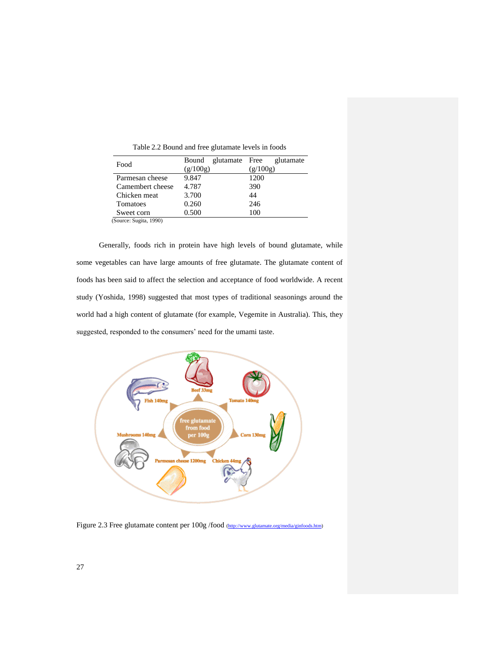| Food                   | glutamate Free<br>Bound | glutamate |
|------------------------|-------------------------|-----------|
|                        | (g/100g)                | (g/100g)  |
| Parmesan cheese        | 9.847                   | 1200      |
| Camembert cheese       | 4.787                   | 390       |
| Chicken meat           | 3.700                   | 44        |
| Tomatoes               | 0.260                   | 246       |
| Sweet corn             | 0.500                   | 100       |
| (Source: Sugita, 1990) |                         |           |

Table 2.2 Bound and free glutamate levels in foods

Generally, foods rich in protein have high levels of bound glutamate, while some vegetables can have large amounts of free glutamate. The glutamate content of foods has been said to affect the selection and acceptance of food worldwide. A recent study (Yoshida, 1998) suggested that most types of traditional seasonings around the world had a high content of glutamate (for example, Vegemite in Australia). This, they suggested, responded to the consumers' need for the umami taste.



Figure 2.3 Free glutamate content per  $100g$  /food [\(http://www.glutamate.org/media/ginfoods.htm\)](http://www.glutamate.org/media/ginfoods.htm)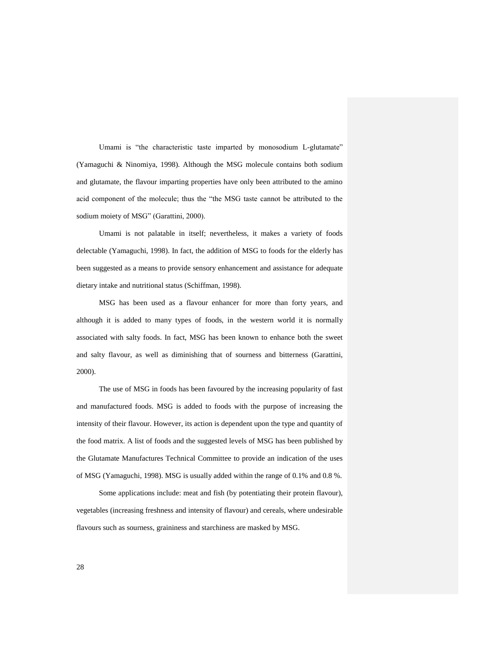Umami is "the characteristic taste imparted by monosodium L-glutamate" (Yamaguchi & Ninomiya, 1998). Although the MSG molecule contains both sodium and glutamate, the flavour imparting properties have only been attributed to the amino acid component of the molecule; thus the "the MSG taste cannot be attributed to the sodium moiety of MSG" (Garattini, 2000).

Umami is not palatable in itself; nevertheless, it makes a variety of foods delectable (Yamaguchi, 1998). In fact, the addition of MSG to foods for the elderly has been suggested as a means to provide sensory enhancement and assistance for adequate dietary intake and nutritional status (Schiffman, 1998).

MSG has been used as a flavour enhancer for more than forty years, and although it is added to many types of foods, in the western world it is normally associated with salty foods. In fact, MSG has been known to enhance both the sweet and salty flavour, as well as diminishing that of sourness and bitterness (Garattini, 2000).

The use of MSG in foods has been favoured by the increasing popularity of fast and manufactured foods. MSG is added to foods with the purpose of increasing the intensity of their flavour. However, its action is dependent upon the type and quantity of the food matrix. A list of foods and the suggested levels of MSG has been published by the Glutamate Manufactures Technical Committee to provide an indication of the uses of MSG (Yamaguchi, 1998). MSG is usually added within the range of 0.1% and 0.8 %.

Some applications include: meat and fish (by potentiating their protein flavour), vegetables (increasing freshness and intensity of flavour) and cereals, where undesirable flavours such as sourness, graininess and starchiness are masked by MSG.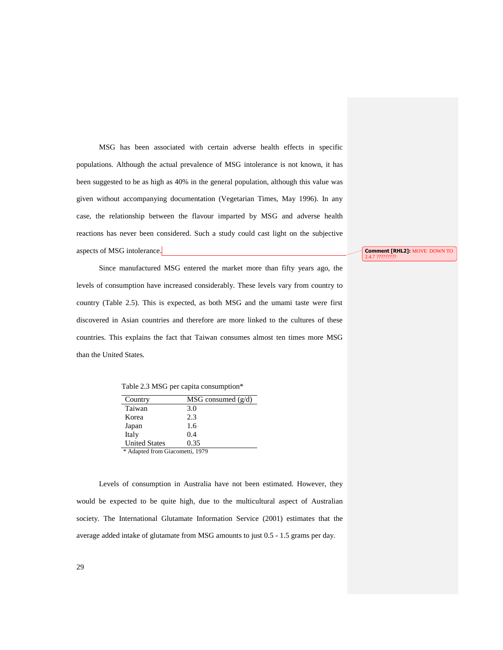MSG has been associated with certain adverse health effects in specific populations. Although the actual prevalence of MSG intolerance is not known, it has been suggested to be as high as 40% in the general population, although this value was given without accompanying documentation (Vegetarian Times, May 1996). In any case, the relationship between the flavour imparted by MSG and adverse health reactions has never been considered. Such a study could cast light on the subjective aspects of MSG intolerance.

Since manufactured MSG entered the market more than fifty years ago, the levels of consumption have increased considerably. These levels vary from country to country (Table 2.5). This is expected, as both MSG and the umami taste were first discovered in Asian countries and therefore are more linked to the cultures of these countries. This explains the fact that Taiwan consumes almost ten times more MSG than the United States.

Table 2.3 MSG per capita consumption\*

| Country                         | MSG consumed $(g/d)$ |
|---------------------------------|----------------------|
| Taiwan                          | 3.0                  |
| Korea                           | 2.3                  |
| Japan                           | 1.6                  |
| Italy                           | 0.4                  |
| <b>United States</b>            | 0.35                 |
| * Adapted from Giacometti, 1979 |                      |

Levels of consumption in Australia have not been estimated. However, they would be expected to be quite high, due to the multicultural aspect of Australian society. The International Glutamate Information Service (2001) estimates that the average added intake of glutamate from MSG amounts to just 0.5 - 1.5 grams per day.

**Comment [RHL2]:** MOVE DOWN TO 2.4.7 ?????????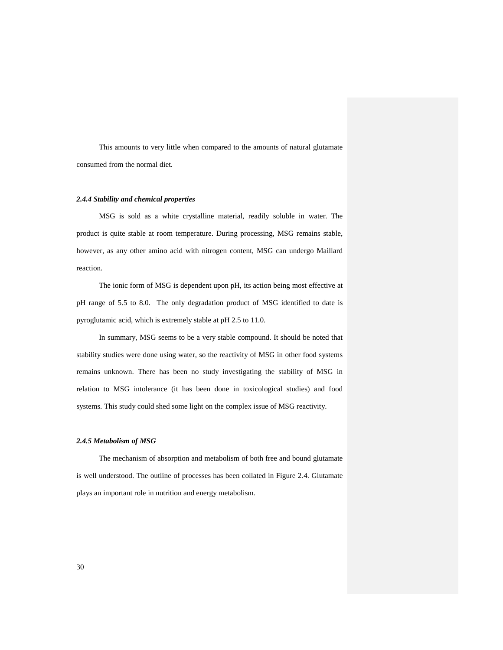This amounts to very little when compared to the amounts of natural glutamate consumed from the normal diet.

#### *2.4.4 Stability and chemical properties*

MSG is sold as a white crystalline material, readily soluble in water. The product is quite stable at room temperature. During processing, MSG remains stable, however, as any other amino acid with nitrogen content, MSG can undergo Maillard reaction.

The ionic form of MSG is dependent upon pH, its action being most effective at pH range of 5.5 to 8.0. The only degradation product of MSG identified to date is pyroglutamic acid, which is extremely stable at pH 2.5 to 11.0.

In summary, MSG seems to be a very stable compound. It should be noted that stability studies were done using water, so the reactivity of MSG in other food systems remains unknown. There has been no study investigating the stability of MSG in relation to MSG intolerance (it has been done in toxicological studies) and food systems. This study could shed some light on the complex issue of MSG reactivity.

#### *2.4.5 Metabolism of MSG*

The mechanism of absorption and metabolism of both free and bound glutamate is well understood. The outline of processes has been collated in Figure 2.4. Glutamate plays an important role in nutrition and energy metabolism.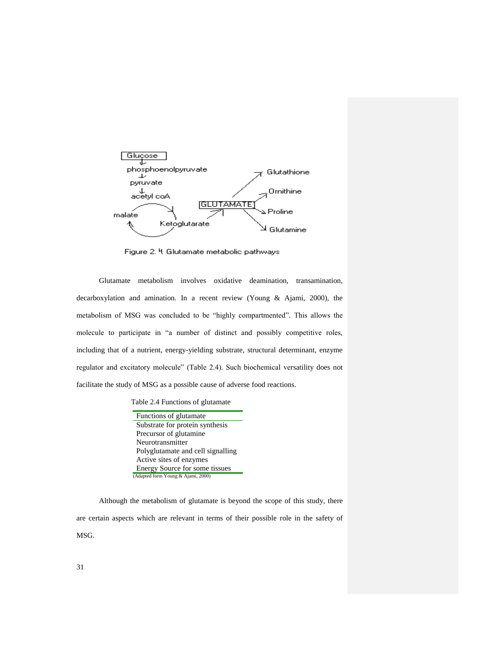

Figure 2. 4 Glutamate metabolic pathways

Glutamate metabolism involves oxidative deamination, transamination, decarboxylation and amination. In a recent review (Young & Ajami, 2000), the metabolism of MSG was concluded to be "highly compartmented". This allows the molecule to participate in "a number of distinct and possibly competitive roles, including that of a nutrient, energy-yielding substrate, structural determinant, enzyme regulator and excitatory molecule" (Table 2.4). Such biochemical versatility does not facilitate the study of MSG as a possible cause of adverse food reactions.

Table 2.4 Functions of glutamate

| Functions of glutamate             |
|------------------------------------|
| Substrate for protein synthesis    |
| Precursor of glutamine             |
| Neurotransmitter                   |
| Polyglutamate and cell signalling  |
| Active sites of enzymes            |
| Energy Source for some tissues     |
| (Adapted form Young & Ajami, 2000) |

Although the metabolism of glutamate is beyond the scope of this study, there are certain aspects which are relevant in terms of their possible role in the safety of MSG.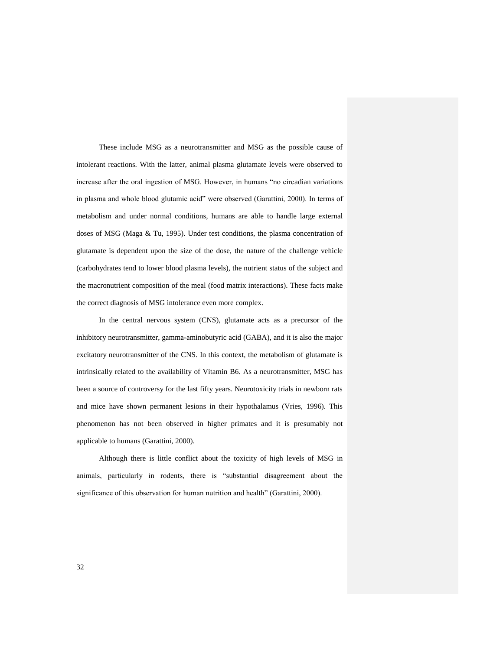These include MSG as a neurotransmitter and MSG as the possible cause of intolerant reactions. With the latter, animal plasma glutamate levels were observed to increase after the oral ingestion of MSG. However, in humans "no circadian variations in plasma and whole blood glutamic acid" were observed (Garattini, 2000). In terms of metabolism and under normal conditions, humans are able to handle large external doses of MSG (Maga & Tu, 1995). Under test conditions, the plasma concentration of glutamate is dependent upon the size of the dose, the nature of the challenge vehicle (carbohydrates tend to lower blood plasma levels), the nutrient status of the subject and the macronutrient composition of the meal (food matrix interactions). These facts make the correct diagnosis of MSG intolerance even more complex.

In the central nervous system (CNS), glutamate acts as a precursor of the inhibitory neurotransmitter, gamma-aminobutyric acid (GABA), and it is also the major excitatory neurotransmitter of the CNS. In this context, the metabolism of glutamate is intrinsically related to the availability of Vitamin B6. As a neurotransmitter, MSG has been a source of controversy for the last fifty years. Neurotoxicity trials in newborn rats and mice have shown permanent lesions in their hypothalamus (Vries, 1996). This phenomenon has not been observed in higher primates and it is presumably not applicable to humans (Garattini, 2000).

Although there is little conflict about the toxicity of high levels of MSG in animals, particularly in rodents, there is "substantial disagreement about the significance of this observation for human nutrition and health" (Garattini, 2000).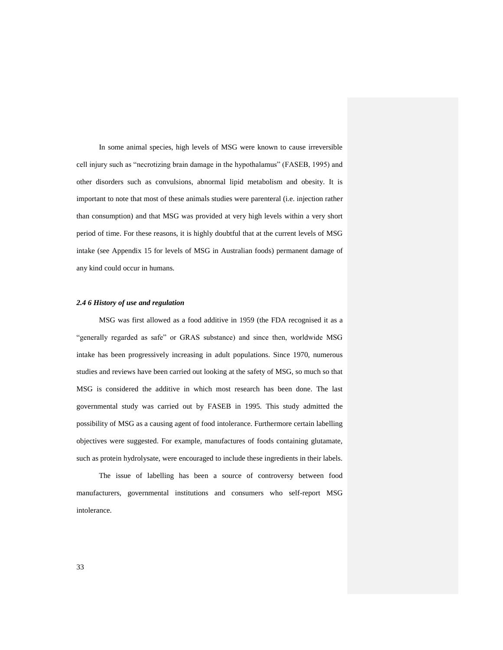In some animal species, high levels of MSG were known to cause irreversible cell injury such as "necrotizing brain damage in the hypothalamus" (FASEB, 1995) and other disorders such as convulsions, abnormal lipid metabolism and obesity. It is important to note that most of these animals studies were parenteral (i.e. injection rather than consumption) and that MSG was provided at very high levels within a very short period of time. For these reasons, it is highly doubtful that at the current levels of MSG intake (see Appendix 15 for levels of MSG in Australian foods) permanent damage of any kind could occur in humans.

#### *2.4 6 History of use and regulation*

MSG was first allowed as a food additive in 1959 (the FDA recognised it as a "generally regarded as safe" or GRAS substance) and since then, worldwide MSG intake has been progressively increasing in adult populations. Since 1970, numerous studies and reviews have been carried out looking at the safety of MSG, so much so that MSG is considered the additive in which most research has been done. The last governmental study was carried out by FASEB in 1995. This study admitted the possibility of MSG as a causing agent of food intolerance. Furthermore certain labelling objectives were suggested. For example, manufactures of foods containing glutamate, such as protein hydrolysate, were encouraged to include these ingredients in their labels.

The issue of labelling has been a source of controversy between food manufacturers, governmental institutions and consumers who self-report MSG intolerance.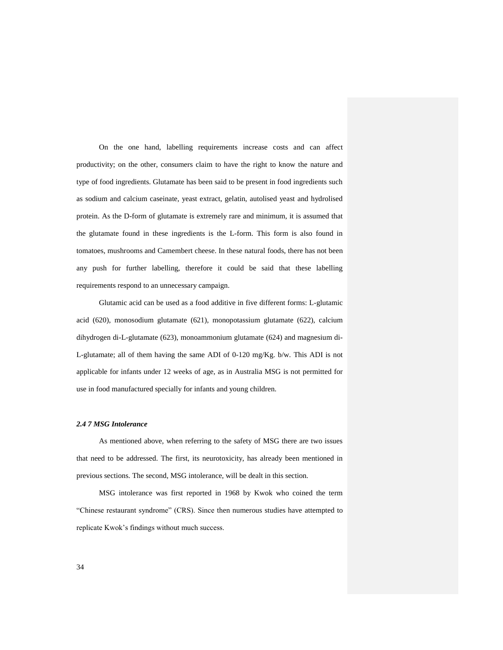On the one hand, labelling requirements increase costs and can affect productivity; on the other, consumers claim to have the right to know the nature and type of food ingredients. Glutamate has been said to be present in food ingredients such as sodium and calcium caseinate, yeast extract, gelatin, autolised yeast and hydrolised protein. As the D-form of glutamate is extremely rare and minimum, it is assumed that the glutamate found in these ingredients is the L-form. This form is also found in tomatoes, mushrooms and Camembert cheese. In these natural foods, there has not been any push for further labelling, therefore it could be said that these labelling requirements respond to an unnecessary campaign.

Glutamic acid can be used as a food additive in five different forms: L-glutamic acid (620), monosodium glutamate (621), monopotassium glutamate (622), calcium dihydrogen di-L-glutamate (623), monoammonium glutamate (624) and magnesium di-L-glutamate; all of them having the same ADI of 0-120 mg/Kg. b/w. This ADI is not applicable for infants under 12 weeks of age, as in Australia MSG is not permitted for use in food manufactured specially for infants and young children.

#### *2.4 7 MSG Intolerance*

As mentioned above, when referring to the safety of MSG there are two issues that need to be addressed. The first, its neurotoxicity, has already been mentioned in previous sections. The second, MSG intolerance, will be dealt in this section.

MSG intolerance was first reported in 1968 by Kwok who coined the term "Chinese restaurant syndrome" (CRS). Since then numerous studies have attempted to replicate Kwok"s findings without much success.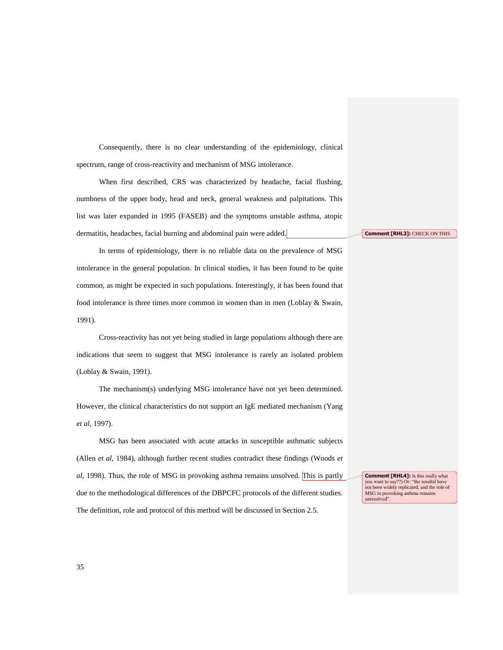Consequently, there is no clear understanding of the epidemiology, clinical spectrum, range of cross-reactivity and mechanism of MSG intolerance.

When first described, CRS was characterized by headache, facial flushing, numbness of the upper body, head and neck, general weakness and palpitations. This list was later expanded in 1995 (FASEB) and the symptoms unstable asthma, atopic dermatitis, headaches, facial burning and abdominal pain were added.

In terms of epidemiology, there is no reliable data on the prevalence of MSG intolerance in the general population. In clinical studies, it has been found to be quite common, as might be expected in such populations. Interestingly, it has been found that food intolerance is three times more common in women than in men (Loblay & Swain, 1991).

Cross-reactivity has not yet being studied in large populations although there are indications that seem to suggest that MSG intolerance is rarely an isolated problem (Loblay & Swain, 1991).

The mechanism(s) underlying MSG intolerance have not yet been determined. However, the clinical characteristics do not support an IgE mediated mechanism (Yang *et al*, 1997).

MSG has been associated with acute attacks in susceptible asthmatic subjects (Allen *et al,* 1984), although further recent studies contradict these findings (Woods *et al*, 1998). Thus, the role of MSG in provoking asthma remains unsolved. This is partly due to the methodological differences of the DBPCFC protocols of the different studies. The definition, role and protocol of this method will be discussed in Section 2.5.

**Comment [RHL3]:** CHECK ON THIS

**Comment [RHL4]:** Is this really what you want to say??) Or: "the resultsl have not been widely replicated, and the role of MSG in provoking asthma remains unresolved".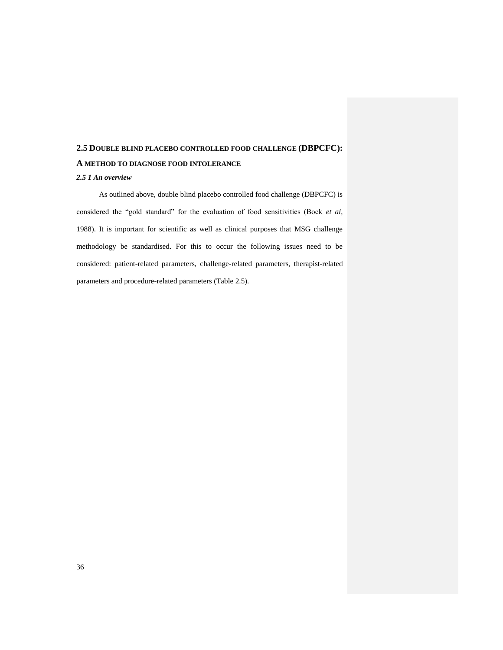# **2.5 DOUBLE BLIND PLACEBO CONTROLLED FOOD CHALLENGE (DBPCFC): A METHOD TO DIAGNOSE FOOD INTOLERANCE**

#### *2.5 1 An overview*

As outlined above, double blind placebo controlled food challenge (DBPCFC) is considered the "gold standard" for the evaluation of food sensitivities (Bock *et al*, 1988). It is important for scientific as well as clinical purposes that MSG challenge methodology be standardised. For this to occur the following issues need to be considered: patient-related parameters, challenge-related parameters, therapist-related parameters and procedure-related parameters (Table 2.5).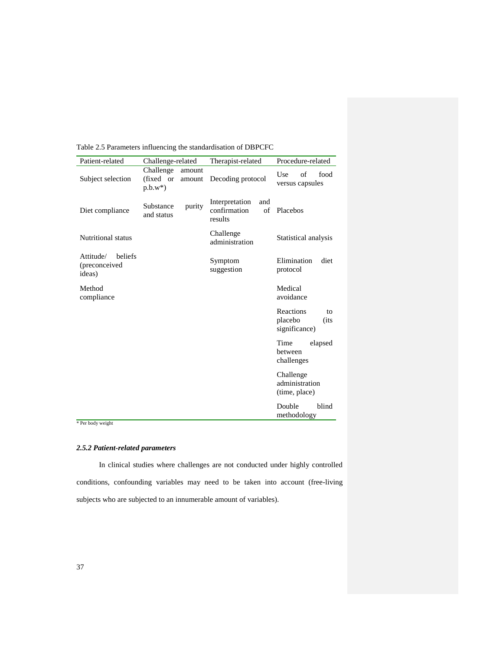| Patient-related                                           | Challenge-related                    |                  | Therapist-related                                      | Procedure-related                                   |
|-----------------------------------------------------------|--------------------------------------|------------------|--------------------------------------------------------|-----------------------------------------------------|
| Subject selection                                         | Challenge<br>(fixed or<br>$p.b.w^*)$ | amount<br>amount | Decoding protocol                                      | Use<br>food<br>of<br>versus capsules                |
| Diet compliance                                           | Substance<br>and status              | purity           | Interpretation<br>and<br>confirmation<br>of<br>results | Placebos                                            |
| Nutritional status                                        |                                      |                  | Challenge<br>administration                            | Statistical analysis                                |
| Attitude/<br>heliefs<br>(preconceived<br>ideas)           |                                      |                  | Symptom<br>suggestion                                  | Elimination<br>diet<br>protocol                     |
| Method<br>compliance                                      |                                      |                  |                                                        | Medical<br>avoidance                                |
|                                                           |                                      |                  |                                                        | Reactions<br>to<br>placebo<br>(its<br>significance) |
|                                                           |                                      |                  |                                                        | Time<br>elapsed<br>between<br>challenges            |
|                                                           |                                      |                  |                                                        | Challenge<br>administration<br>(time, place)        |
| $\cdot$ $\cdot$<br>$\mathbf{r}$ $\mathbf{r}$ $\mathbf{r}$ |                                      |                  |                                                        | blind<br>Double<br>methodology                      |

Table 2.5 Parameters influencing the standardisation of DBPCFC

\* Per body weight

# *2.5.2 Patient-related parameters*

In clinical studies where challenges are not conducted under highly controlled conditions, confounding variables may need to be taken into account (free-living subjects who are subjected to an innumerable amount of variables).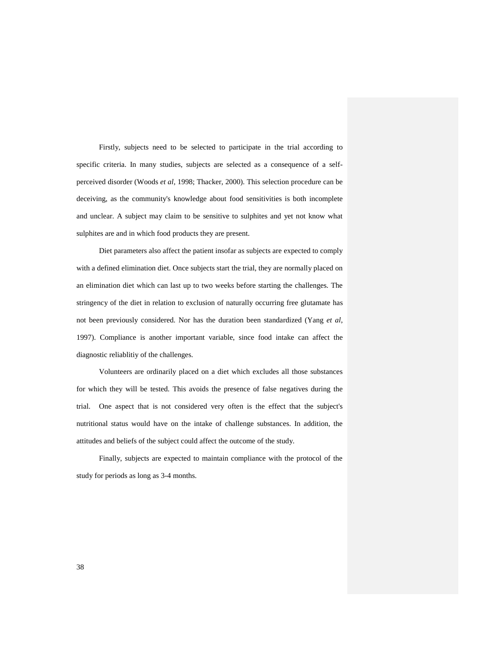Firstly, subjects need to be selected to participate in the trial according to specific criteria. In many studies, subjects are selected as a consequence of a selfperceived disorder (Woods *et al*, 1998; Thacker, 2000). This selection procedure can be deceiving, as the community's knowledge about food sensitivities is both incomplete and unclear. A subject may claim to be sensitive to sulphites and yet not know what sulphites are and in which food products they are present.

Diet parameters also affect the patient insofar as subjects are expected to comply with a defined elimination diet. Once subjects start the trial, they are normally placed on an elimination diet which can last up to two weeks before starting the challenges. The stringency of the diet in relation to exclusion of naturally occurring free glutamate has not been previously considered. Nor has the duration been standardized (Yang *et al*, 1997). Compliance is another important variable, since food intake can affect the diagnostic reliablitiy of the challenges.

Volunteers are ordinarily placed on a diet which excludes all those substances for which they will be tested. This avoids the presence of false negatives during the trial. One aspect that is not considered very often is the effect that the subject's nutritional status would have on the intake of challenge substances. In addition, the attitudes and beliefs of the subject could affect the outcome of the study.

Finally, subjects are expected to maintain compliance with the protocol of the study for periods as long as 3-4 months.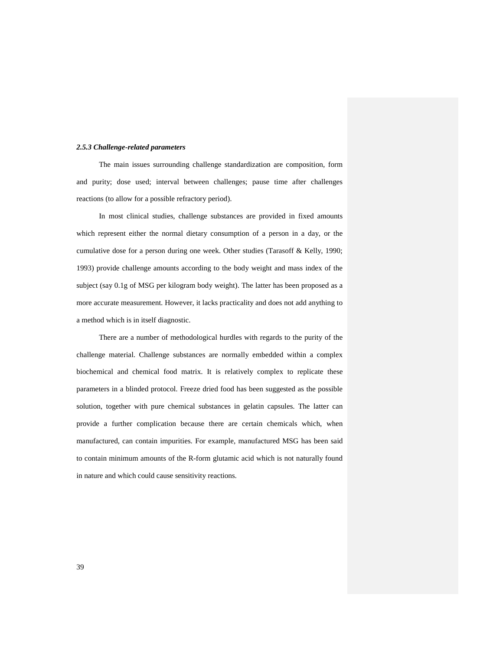### *2.5.3 Challenge-related parameters*

The main issues surrounding challenge standardization are composition, form and purity; dose used; interval between challenges; pause time after challenges reactions (to allow for a possible refractory period).

In most clinical studies, challenge substances are provided in fixed amounts which represent either the normal dietary consumption of a person in a day, or the cumulative dose for a person during one week. Other studies (Tarasoff & Kelly, 1990; 1993) provide challenge amounts according to the body weight and mass index of the subject (say 0.1g of MSG per kilogram body weight). The latter has been proposed as a more accurate measurement. However, it lacks practicality and does not add anything to a method which is in itself diagnostic.

There are a number of methodological hurdles with regards to the purity of the challenge material. Challenge substances are normally embedded within a complex biochemical and chemical food matrix. It is relatively complex to replicate these parameters in a blinded protocol. Freeze dried food has been suggested as the possible solution, together with pure chemical substances in gelatin capsules. The latter can provide a further complication because there are certain chemicals which, when manufactured, can contain impurities. For example, manufactured MSG has been said to contain minimum amounts of the R-form glutamic acid which is not naturally found in nature and which could cause sensitivity reactions.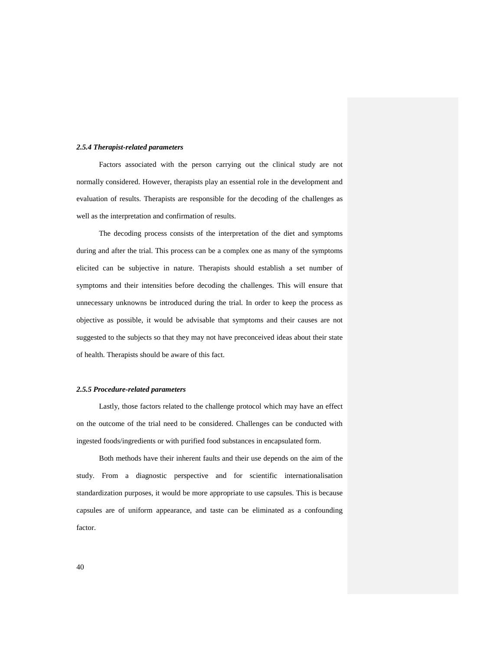### *2.5.4 Therapist-related parameters*

Factors associated with the person carrying out the clinical study are not normally considered. However, therapists play an essential role in the development and evaluation of results. Therapists are responsible for the decoding of the challenges as well as the interpretation and confirmation of results.

The decoding process consists of the interpretation of the diet and symptoms during and after the trial. This process can be a complex one as many of the symptoms elicited can be subjective in nature. Therapists should establish a set number of symptoms and their intensities before decoding the challenges. This will ensure that unnecessary unknowns be introduced during the trial. In order to keep the process as objective as possible, it would be advisable that symptoms and their causes are not suggested to the subjects so that they may not have preconceived ideas about their state of health. Therapists should be aware of this fact.

### *2.5.5 Procedure-related parameters*

Lastly, those factors related to the challenge protocol which may have an effect on the outcome of the trial need to be considered. Challenges can be conducted with ingested foods/ingredients or with purified food substances in encapsulated form.

Both methods have their inherent faults and their use depends on the aim of the study. From a diagnostic perspective and for scientific internationalisation standardization purposes, it would be more appropriate to use capsules. This is because capsules are of uniform appearance, and taste can be eliminated as a confounding factor.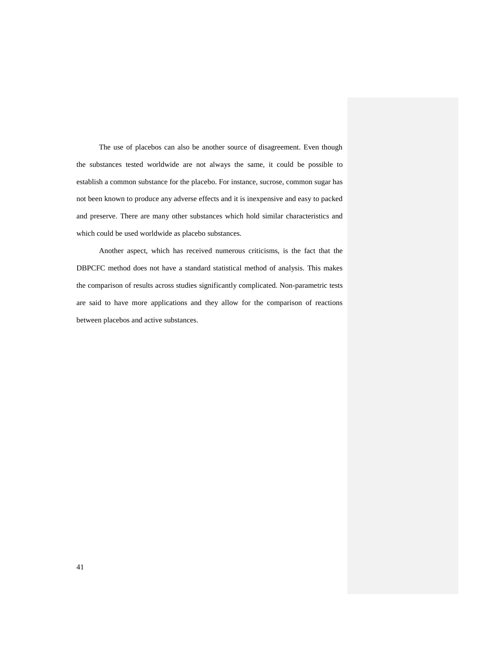The use of placebos can also be another source of disagreement. Even though the substances tested worldwide are not always the same, it could be possible to establish a common substance for the placebo. For instance, sucrose, common sugar has not been known to produce any adverse effects and it is inexpensive and easy to packed and preserve. There are many other substances which hold similar characteristics and which could be used worldwide as placebo substances.

Another aspect, which has received numerous criticisms, is the fact that the DBPCFC method does not have a standard statistical method of analysis. This makes the comparison of results across studies significantly complicated. Non-parametric tests are said to have more applications and they allow for the comparison of reactions between placebos and active substances.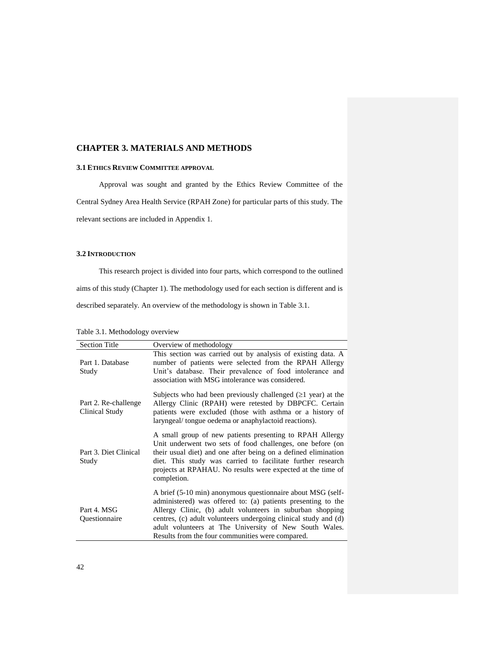# **CHAPTER 3. MATERIALS AND METHODS**

# **3.1 ETHICS REVIEW COMMITTEE APPROVAL**

Approval was sought and granted by the Ethics Review Committee of the Central Sydney Area Health Service (RPAH Zone) for particular parts of this study. The relevant sections are included in Appendix 1.

# **3.2 INTRODUCTION**

This research project is divided into four parts, which correspond to the outlined aims of this study (Chapter 1). The methodology used for each section is different and is described separately. An overview of the methodology is shown in Table 3.1.

| Table 3.1. Methodology overview |
|---------------------------------|
|                                 |

| <b>Section Title</b>                   | Overview of methodology                                                                                                                                                                                                                                                                                                                                                   |
|----------------------------------------|---------------------------------------------------------------------------------------------------------------------------------------------------------------------------------------------------------------------------------------------------------------------------------------------------------------------------------------------------------------------------|
| Part 1. Database<br>Study              | This section was carried out by analysis of existing data. A<br>number of patients were selected from the RPAH Allergy<br>Unit's database. Their prevalence of food intolerance and<br>association with MSG intolerance was considered.                                                                                                                                   |
| Part 2. Re-challenge<br>Clinical Study | Subjects who had been previously challenged $(\geq 1$ year) at the<br>Allergy Clinic (RPAH) were retested by DBPCFC. Certain<br>patients were excluded (those with asthma or a history of<br>laryngeal/tongue oedema or anaphylactoid reactions).                                                                                                                         |
| Part 3. Diet Clinical<br>Study         | A small group of new patients presenting to RPAH Allergy<br>Unit underwent two sets of food challenges, one before (on<br>their usual diet) and one after being on a defined elimination<br>diet. This study was carried to facilitate further research<br>projects at RPAHAU. No results were expected at the time of<br>completion.                                     |
| Part 4. MSG<br>Questionnaire           | A brief (5-10 min) anonymous questionnaire about MSG (self-<br>administered) was offered to: (a) patients presenting to the<br>Allergy Clinic, (b) adult volunteers in suburban shopping<br>centres, (c) adult volunteers undergoing clinical study and (d)<br>adult volunteers at The University of New South Wales.<br>Results from the four communities were compared. |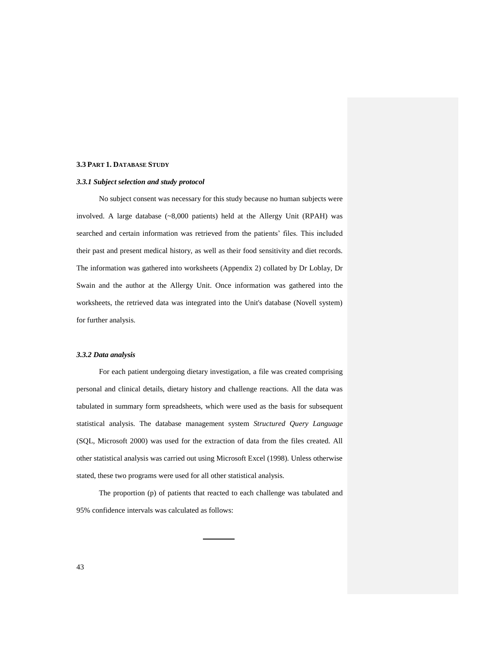### **3.3 PART 1. DATABASE STUDY**

### *3.3.1 Subject selection and study protocol*

No subject consent was necessary for this study because no human subjects were involved. A large database (~8,000 patients) held at the Allergy Unit (RPAH) was searched and certain information was retrieved from the patients' files. This included their past and present medical history, as well as their food sensitivity and diet records. The information was gathered into worksheets (Appendix 2) collated by Dr Loblay, Dr Swain and the author at the Allergy Unit. Once information was gathered into the worksheets, the retrieved data was integrated into the Unit's database (Novell system) for further analysis.

### *3.3.2 Data analysis*

For each patient undergoing dietary investigation, a file was created comprising personal and clinical details, dietary history and challenge reactions. All the data was tabulated in summary form spreadsheets, which were used as the basis for subsequent statistical analysis. The database management system *Structured Query Language* (SQL, Microsoft 2000) was used for the extraction of data from the files created. All other statistical analysis was carried out using Microsoft Excel (1998). Unless otherwise stated, these two programs were used for all other statistical analysis.

The proportion (p) of patients that reacted to each challenge was tabulated and 95% confidence intervals was calculated as follows: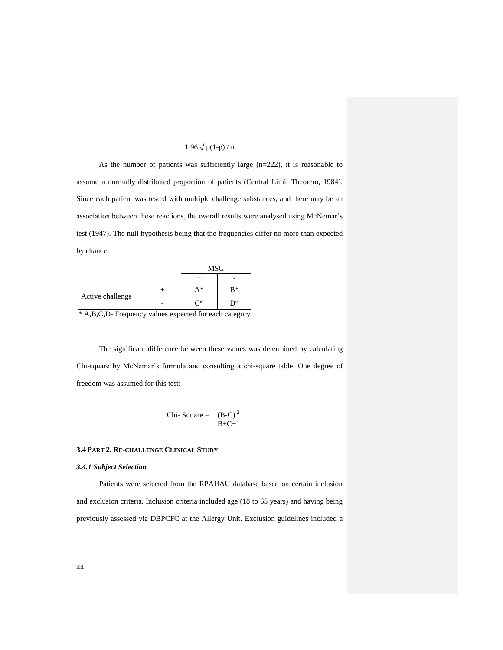# $1.96 \sqrt{p(1-p)}$  / n

As the number of patients was sufficiently large (n=222), it is reasonable to assume a normally distributed proportion of patients (Central Limit Theorem, 1984). Since each patient was tested with multiple challenge substances, and there may be an association between these reactions, the overall results were analysed using McNemar"s test (1947). The null hypothesis being that the frequencies differ no more than expected by chance:

|                  | <b>MSG</b> |       |
|------------------|------------|-------|
|                  |            |       |
| Active challenge | A*         | $R^*$ |
|                  | ∗אי        | D*    |

\* A,B,C,D- Frequency values expected for each category

The significant difference between these values was determined by calculating Chi-square by McNemar"s formula and consulting a chi-square table. One degree of freedom was assumed for this test:

$$
Chi-Square = \underline{(B-C)^2} \over B+C+1}
$$

### **3.4 PART 2. RE-CHALLENGE CLINICAL STUDY**

### *3.4.1 Subject Selection*

Patients were selected from the RPAHAU database based on certain inclusion and exclusion criteria. Inclusion criteria included age (18 to 65 years) and having being previously assessed via DBPCFC at the Allergy Unit. Exclusion guidelines included a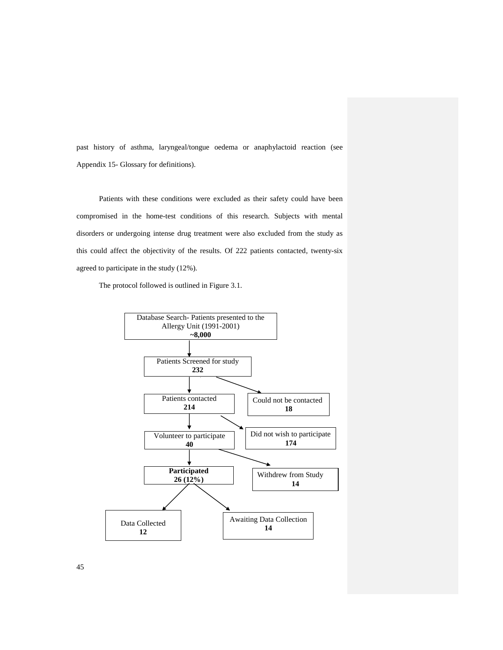past history of asthma, laryngeal/tongue oedema or anaphylactoid reaction (see Appendix 15- Glossary for definitions).

Patients with these conditions were excluded as their safety could have been compromised in the home-test conditions of this research. Subjects with mental disorders or undergoing intense drug treatment were also excluded from the study as this could affect the objectivity of the results. Of 222 patients contacted, twenty-six agreed to participate in the study (12%).

The protocol followed is outlined in Figure 3.1.

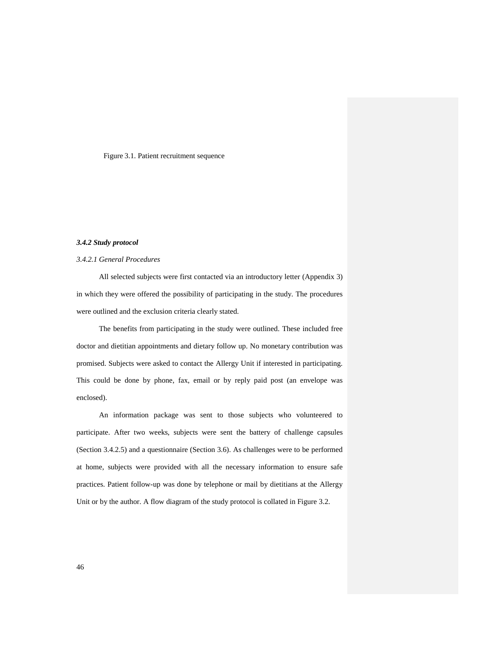#### Figure 3.1. Patient recruitment sequence

### *3.4.2 Study protocol*

## *3.4.2.1 General Procedures*

All selected subjects were first contacted via an introductory letter (Appendix 3) in which they were offered the possibility of participating in the study. The procedures were outlined and the exclusion criteria clearly stated.

The benefits from participating in the study were outlined. These included free doctor and dietitian appointments and dietary follow up. No monetary contribution was promised. Subjects were asked to contact the Allergy Unit if interested in participating. This could be done by phone, fax, email or by reply paid post (an envelope was enclosed).

An information package was sent to those subjects who volunteered to participate. After two weeks, subjects were sent the battery of challenge capsules (Section 3.4.2.5) and a questionnaire (Section 3.6). As challenges were to be performed at home, subjects were provided with all the necessary information to ensure safe practices. Patient follow-up was done by telephone or mail by dietitians at the Allergy Unit or by the author. A flow diagram of the study protocol is collated in Figure 3.2.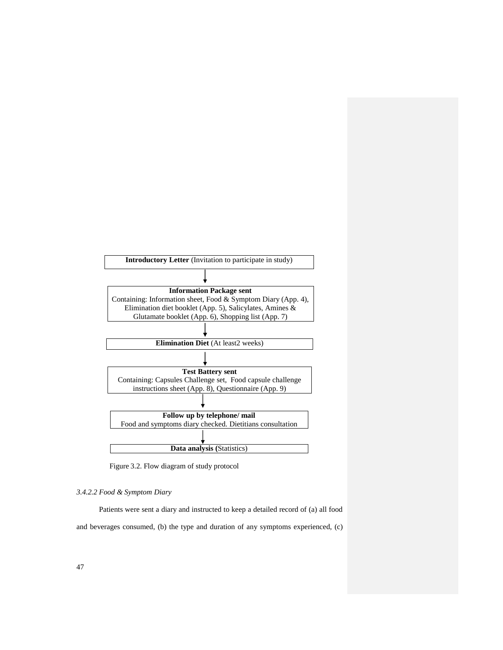

Figure 3.2. Flow diagram of study protocol

# *3.4.2.2 Food & Symptom Diary*

Patients were sent a diary and instructed to keep a detailed record of (a) all food and beverages consumed, (b) the type and duration of any symptoms experienced, (c)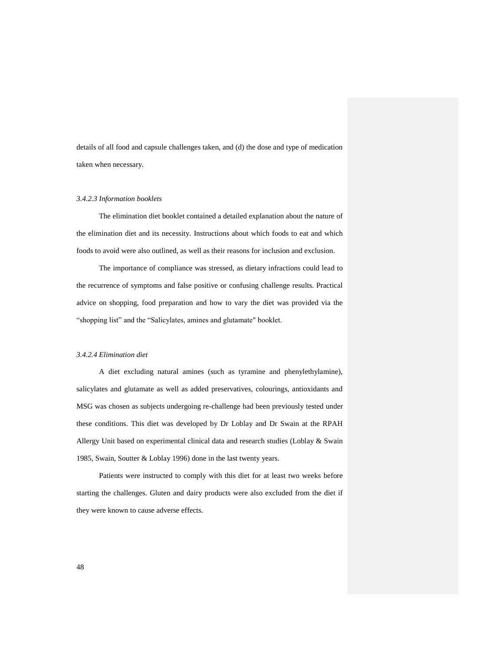details of all food and capsule challenges taken, and (d) the dose and type of medication taken when necessary.

# *3.4.2.3 Information booklets*

The elimination diet booklet contained a detailed explanation about the nature of the elimination diet and its necessity. Instructions about which foods to eat and which foods to avoid were also outlined, as well as their reasons for inclusion and exclusion.

The importance of compliance was stressed, as dietary infractions could lead to the recurrence of symptoms and false positive or confusing challenge results. Practical advice on shopping, food preparation and how to vary the diet was provided via the "shopping list" and the "Salicylates, amines and glutamate" booklet.

### *3.4.2.4 Elimination diet*

A diet excluding natural amines (such as tyramine and phenylethylamine), salicylates and glutamate as well as added preservatives, colourings, antioxidants and MSG was chosen as subjects undergoing re-challenge had been previously tested under these conditions. This diet was developed by Dr Loblay and Dr Swain at the RPAH Allergy Unit based on experimental clinical data and research studies (Loblay & Swain 1985, Swain, Soutter & Loblay 1996) done in the last twenty years.

Patients were instructed to comply with this diet for at least two weeks before starting the challenges. Gluten and dairy products were also excluded from the diet if they were known to cause adverse effects.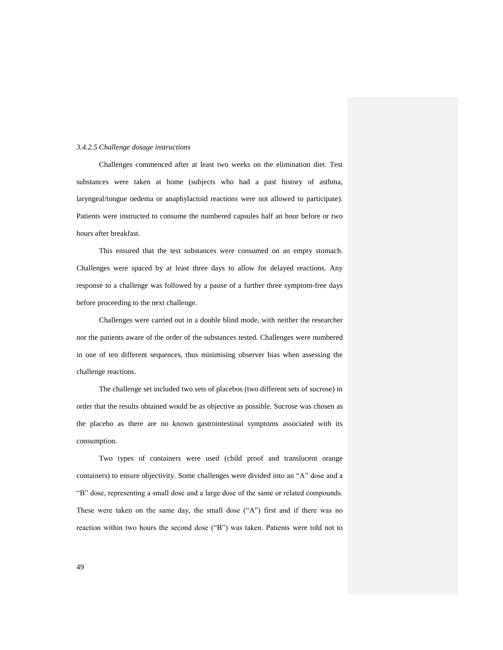### *3.4.2.5 Challenge dosage instructions*

Challenges commenced after at least two weeks on the elimination diet. Test substances were taken at home (subjects who had a past history of asthma, laryngeal/tongue oedema or anaphylactoid reactions were not allowed to participate). Patients were instructed to consume the numbered capsules half an hour before or two hours after breakfast.

This ensured that the test substances were consumed on an empty stomach. Challenges were spaced by at least three days to allow for delayed reactions. Any response to a challenge was followed by a pause of a further three symptom-free days before proceeding to the next challenge.

Challenges were carried out in a double blind mode, with neither the researcher nor the patients aware of the order of the substances tested. Challenges were numbered in one of ten different sequences, thus minimising observer bias when assessing the challenge reactions.

The challenge set included two sets of placebos (two different sets of sucrose) in order that the results obtained would be as objective as possible. Sucrose was chosen as the placebo as there are no known gastrointestinal symptoms associated with its consumption.

Two types of containers were used (child proof and translucent orange containers) to ensure objectivity. Some challenges were divided into an "A" dose and a "B" dose, representing a small dose and a large dose of the same or related compounds. These were taken on the same day, the small dose ("A") first and if there was no reaction within two hours the second dose ("B") was taken. Patients were told not to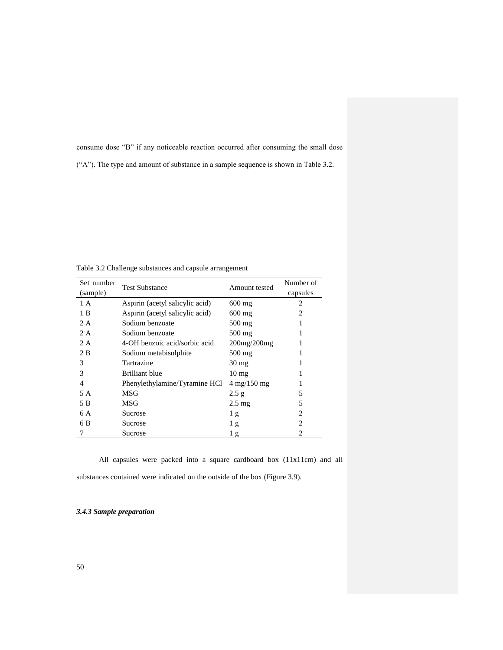consume dose "B" if any noticeable reaction occurred after consuming the small dose

("A"). The type and amount of substance in a sample sequence is shown in Table 3.2.

Table 3.2 Challenge substances and capsule arrangement

| Set number<br>(sample) | <b>Test Substance</b>           | Amount tested                 | Number of<br>capsules |
|------------------------|---------------------------------|-------------------------------|-----------------------|
| 1 A                    | Aspirin (acetyl salicylic acid) | $600$ mg                      | 2                     |
| 1 B                    | Aspirin (acetyl salicylic acid) | $600$ mg                      | 2                     |
| 2 A                    | Sodium benzoate                 | $500$ mg                      |                       |
| 2 A                    | Sodium benzoate                 | $500$ mg                      | 1                     |
| 2 A                    | 4-OH benzoic acid/sorbic acid   | $200$ mg/ $200$ mg            |                       |
| 2 B                    | Sodium metabisulphite           | $500$ mg                      |                       |
| 3                      | Tartrazine                      | $30 \text{ mg}$               |                       |
| 3                      | <b>Brilliant blue</b>           | $10 \text{ mg}$               |                       |
| 4                      | Phenylethylamine/Tyramine HCl   | $4 \text{ mg}/150 \text{ mg}$ |                       |
| 5 A                    | MSG                             | 2.5 g                         | 5                     |
| 5 B                    | MSG                             | $2.5 \text{ mg}$              | 5                     |
| 6 A                    | Sucrose                         | 1 <sub>g</sub>                | $\overline{c}$        |
| 6 B                    | Sucrose                         | 1 <sub>g</sub>                | 2                     |
|                        | Sucrose                         | 1 <sub>g</sub>                | 2                     |

All capsules were packed into a square cardboard box (11x11cm) and all substances contained were indicated on the outside of the box (Figure 3.9).

# *3.4.3 Sample preparation*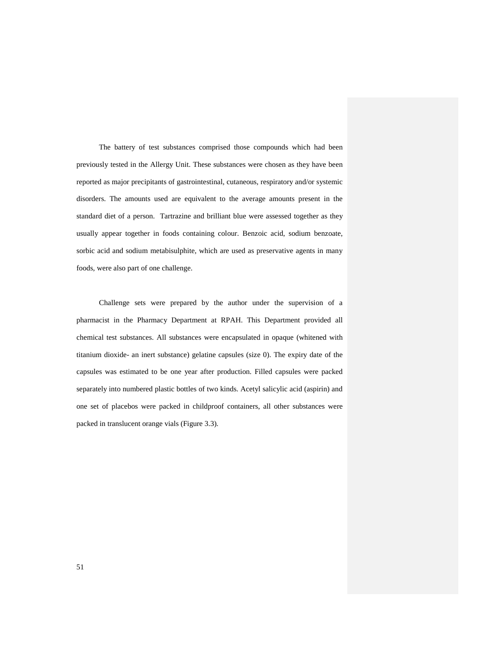The battery of test substances comprised those compounds which had been previously tested in the Allergy Unit. These substances were chosen as they have been reported as major precipitants of gastrointestinal, cutaneous, respiratory and/or systemic disorders. The amounts used are equivalent to the average amounts present in the standard diet of a person. Tartrazine and brilliant blue were assessed together as they usually appear together in foods containing colour. Benzoic acid, sodium benzoate, sorbic acid and sodium metabisulphite, which are used as preservative agents in many foods, were also part of one challenge.

Challenge sets were prepared by the author under the supervision of a pharmacist in the Pharmacy Department at RPAH. This Department provided all chemical test substances. All substances were encapsulated in opaque (whitened with titanium dioxide- an inert substance) gelatine capsules (size 0). The expiry date of the capsules was estimated to be one year after production. Filled capsules were packed separately into numbered plastic bottles of two kinds. Acetyl salicylic acid (aspirin) and one set of placebos were packed in childproof containers, all other substances were packed in translucent orange vials (Figure 3.3).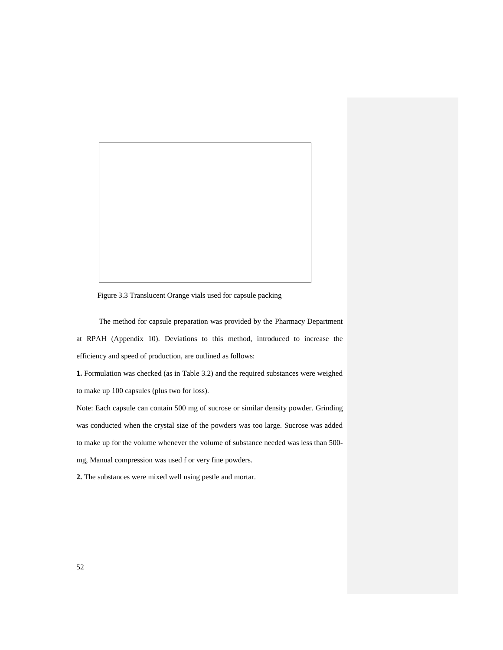

Figure 3.3 Translucent Orange vials used for capsule packing

The method for capsule preparation was provided by the Pharmacy Department at RPAH (Appendix 10). Deviations to this method, introduced to increase the efficiency and speed of production, are outlined as follows:

**1.** Formulation was checked (as in Table 3.2) and the required substances were weighed to make up 100 capsules (plus two for loss).

Note: Each capsule can contain 500 mg of sucrose or similar density powder. Grinding was conducted when the crystal size of the powders was too large. Sucrose was added to make up for the volume whenever the volume of substance needed was less than 500 mg, Manual compression was used f or very fine powders.

**2.** The substances were mixed well using pestle and mortar.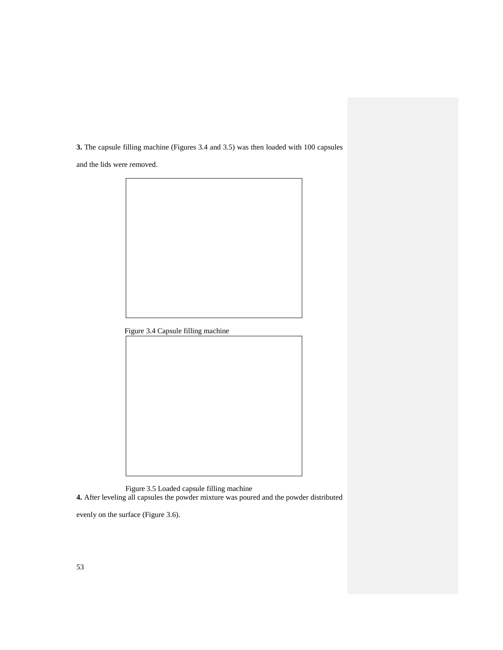**3.** The capsule filling machine (Figures 3.4 and 3.5) was then loaded with 100 capsules

and the lids were removed.



Figure 3.4 Capsule filling machine



Figure 3.5 Loaded capsule filling machine

**4.** After leveling all capsules the powder mixture was poured and the powder distributed

evenly on the surface (Figure 3.6).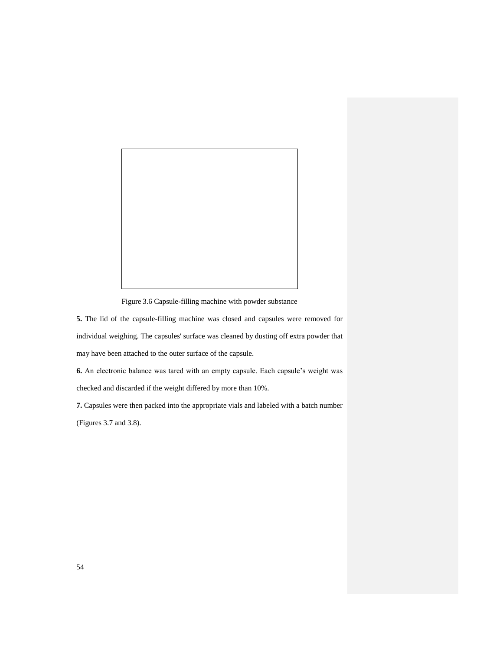

Figure 3.6 Capsule-filling machine with powder substance

**5.** The lid of the capsule-filling machine was closed and capsules were removed for individual weighing. The capsules' surface was cleaned by dusting off extra powder that may have been attached to the outer surface of the capsule.

**6.** An electronic balance was tared with an empty capsule. Each capsule"s weight was checked and discarded if the weight differed by more than 10%.

**7.** Capsules were then packed into the appropriate vials and labeled with a batch number (Figures 3.7 and 3.8).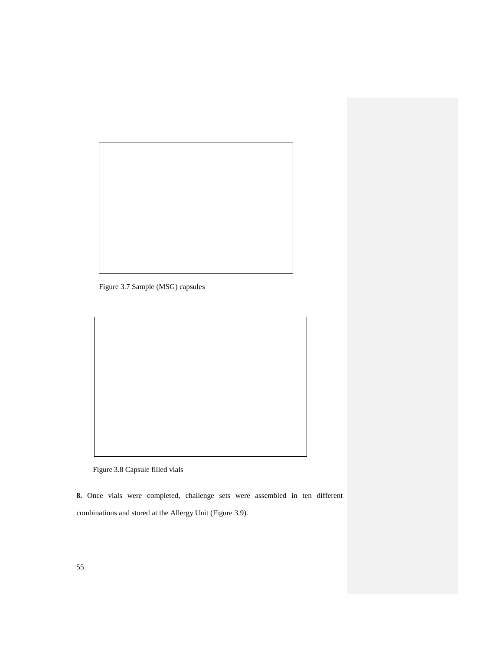

Figure 3.7 Sample (MSG) capsules



Figure 3.8 Capsule filled vials

**8.** Once vials were completed, challenge sets were assembled in ten different combinations and stored at the Allergy Unit (Figure 3.9).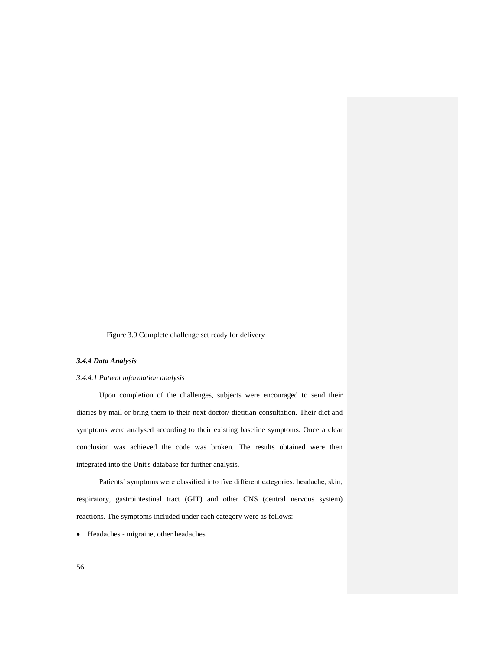

Figure 3.9 Complete challenge set ready for delivery

# *3.4.4 Data Analysis*

## *3.4.4.1 Patient information analysis*

Upon completion of the challenges, subjects were encouraged to send their diaries by mail or bring them to their next doctor/ dietitian consultation. Their diet and symptoms were analysed according to their existing baseline symptoms. Once a clear conclusion was achieved the code was broken. The results obtained were then integrated into the Unit's database for further analysis.

Patients' symptoms were classified into five different categories: headache, skin, respiratory, gastrointestinal tract (GIT) and other CNS (central nervous system) reactions. The symptoms included under each category were as follows:

Headaches - migraine, other headaches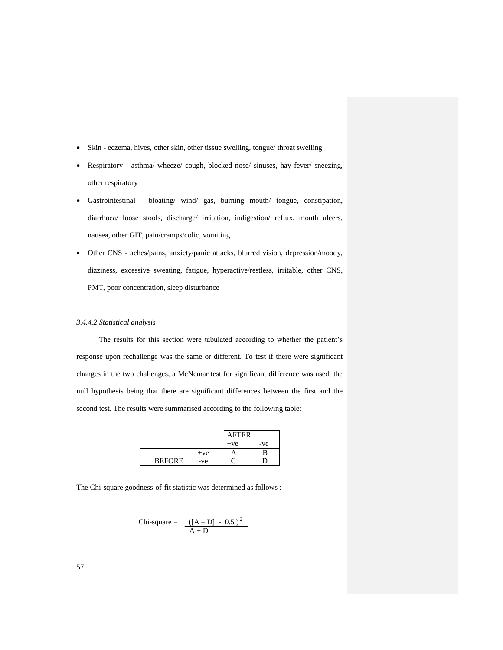- Skin eczema, hives, other skin, other tissue swelling, tongue/ throat swelling
- Respiratory asthma/ wheeze/ cough, blocked nose/ sinuses, hay fever/ sneezing, other respiratory
- Gastrointestinal bloating/ wind/ gas, burning mouth/ tongue, constipation, diarrhoea/ loose stools, discharge/ irritation, indigestion/ reflux, mouth ulcers, nausea, other GIT, pain/cramps/colic, vomiting
- Other CNS aches/pains, anxiety/panic attacks, blurred vision, depression/moody, dizziness, excessive sweating, fatigue, hyperactive/restless, irritable, other CNS, PMT, poor concentration, sleep disturbance

## *3.4.4.2 Statistical analysis*

The results for this section were tabulated according to whether the patient's response upon rechallenge was the same or different. To test if there were significant changes in the two challenges, a McNemar test for significant difference was used, the null hypothesis being that there are significant differences between the first and the second test. The results were summarised according to the following table:

|               |       | <b>AFTER</b> |     |
|---------------|-------|--------------|-----|
|               |       | $+ve$        | -ve |
|               | $+ve$ | Α            | в   |
| <b>BEFORE</b> | -ve   |              | נו  |

The Chi-square goodness-of-fit statistic was determined as follows :

Chi-square = 
$$
\frac{([A - D] - 0.5)^2}{A + D}
$$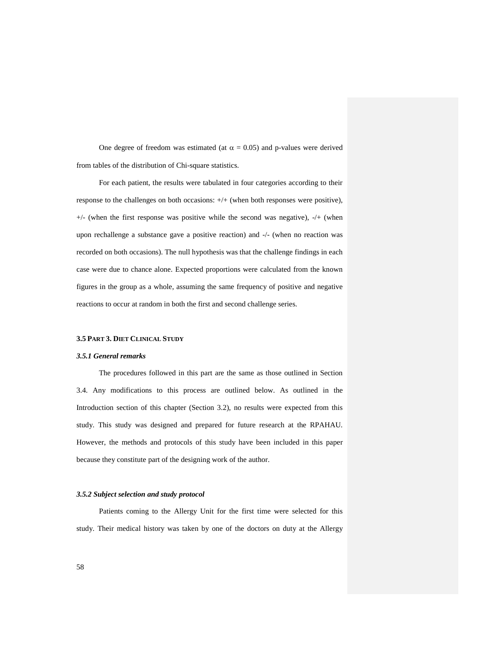One degree of freedom was estimated (at  $\alpha = 0.05$ ) and p-values were derived from tables of the distribution of Chi-square statistics.

For each patient, the results were tabulated in four categories according to their response to the challenges on both occasions: +/+ (when both responses were positive), +/- (when the first response was positive while the second was negative), -/+ (when upon rechallenge a substance gave a positive reaction) and -/- (when no reaction was recorded on both occasions). The null hypothesis was that the challenge findings in each case were due to chance alone. Expected proportions were calculated from the known figures in the group as a whole, assuming the same frequency of positive and negative reactions to occur at random in both the first and second challenge series.

# **3.5 PART 3. DIET CLINICAL STUDY**

### *3.5.1 General remarks*

The procedures followed in this part are the same as those outlined in Section 3.4. Any modifications to this process are outlined below. As outlined in the Introduction section of this chapter (Section 3.2), no results were expected from this study. This study was designed and prepared for future research at the RPAHAU. However, the methods and protocols of this study have been included in this paper because they constitute part of the designing work of the author.

## *3.5.2 Subject selection and study protocol*

Patients coming to the Allergy Unit for the first time were selected for this study. Their medical history was taken by one of the doctors on duty at the Allergy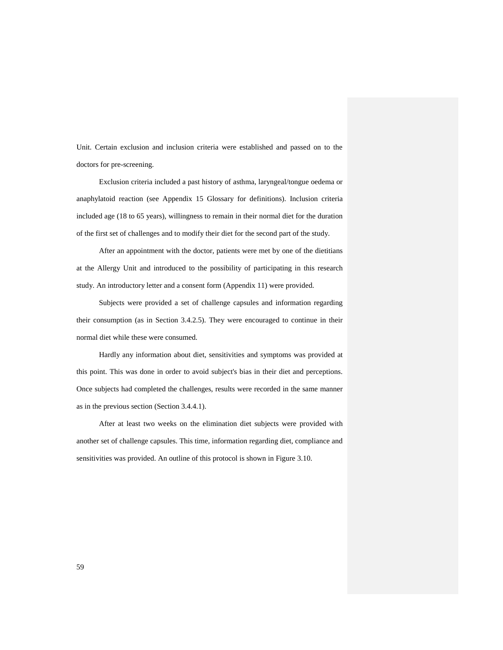Unit. Certain exclusion and inclusion criteria were established and passed on to the doctors for pre-screening.

Exclusion criteria included a past history of asthma, laryngeal/tongue oedema or anaphylatoid reaction (see Appendix 15 Glossary for definitions). Inclusion criteria included age (18 to 65 years), willingness to remain in their normal diet for the duration of the first set of challenges and to modify their diet for the second part of the study.

After an appointment with the doctor, patients were met by one of the dietitians at the Allergy Unit and introduced to the possibility of participating in this research study. An introductory letter and a consent form (Appendix 11) were provided.

Subjects were provided a set of challenge capsules and information regarding their consumption (as in Section 3.4.2.5). They were encouraged to continue in their normal diet while these were consumed.

Hardly any information about diet, sensitivities and symptoms was provided at this point. This was done in order to avoid subject's bias in their diet and perceptions. Once subjects had completed the challenges, results were recorded in the same manner as in the previous section (Section 3.4.4.1).

After at least two weeks on the elimination diet subjects were provided with another set of challenge capsules. This time, information regarding diet, compliance and sensitivities was provided. An outline of this protocol is shown in Figure 3.10.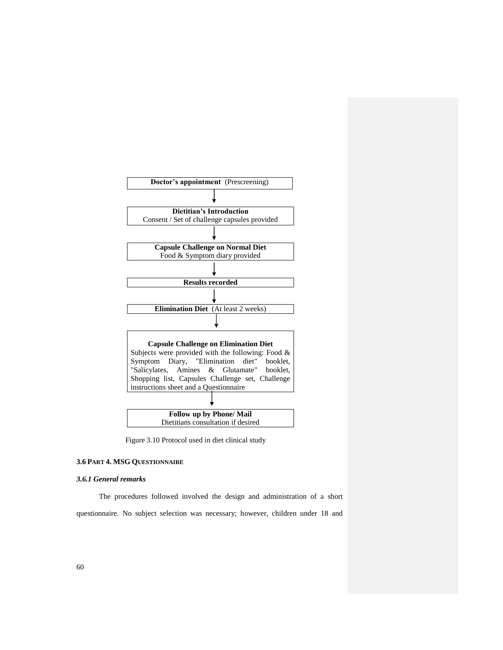

Figure 3.10 Protocol used in diet clinical study

# **3.6 PART 4. MSG QUESTIONNAIRE**

## *3.6.1 General remarks*

The procedures followed involved the design and administration of a short questionnaire. No subject selection was necessary; however, children under 18 and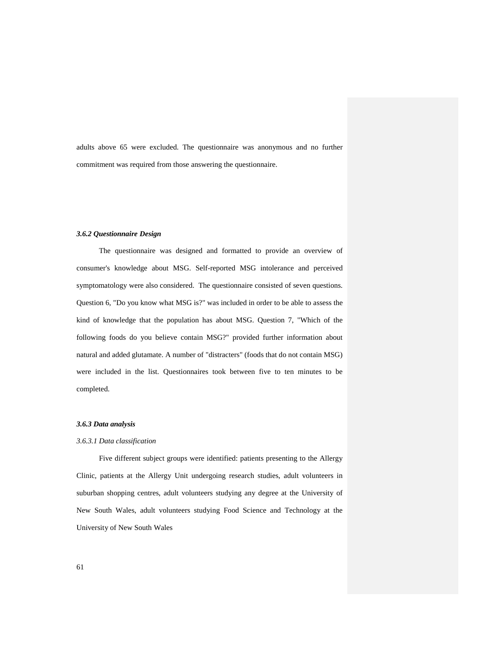adults above 65 were excluded. The questionnaire was anonymous and no further commitment was required from those answering the questionnaire.

### *3.6.2 Questionnaire Design*

The questionnaire was designed and formatted to provide an overview of consumer's knowledge about MSG. Self-reported MSG intolerance and perceived symptomatology were also considered. The questionnaire consisted of seven questions. Question 6, "Do you know what MSG is?" was included in order to be able to assess the kind of knowledge that the population has about MSG. Question 7, "Which of the following foods do you believe contain MSG?" provided further information about natural and added glutamate. A number of "distracters" (foods that do not contain MSG) were included in the list. Questionnaires took between five to ten minutes to be completed.

## *3.6.3 Data analysis*

## *3.6.3.1 Data classification*

Five different subject groups were identified: patients presenting to the Allergy Clinic, patients at the Allergy Unit undergoing research studies, adult volunteers in suburban shopping centres, adult volunteers studying any degree at the University of New South Wales, adult volunteers studying Food Science and Technology at the University of New South Wales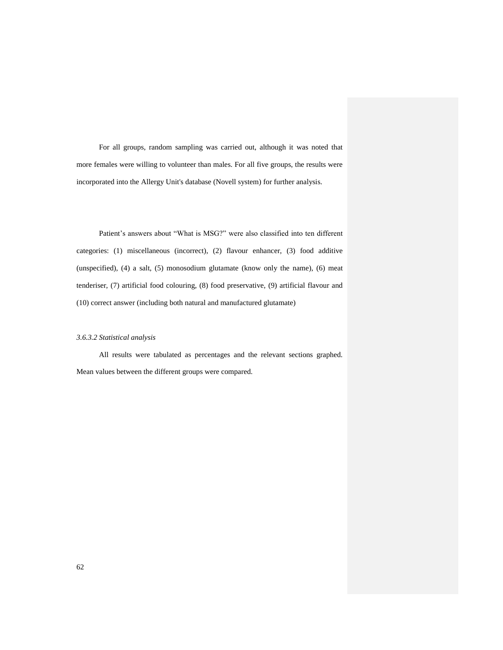For all groups, random sampling was carried out, although it was noted that more females were willing to volunteer than males. For all five groups, the results were incorporated into the Allergy Unit's database (Novell system) for further analysis.

Patient's answers about "What is MSG?" were also classified into ten different categories: (1) miscellaneous (incorrect), (2) flavour enhancer, (3) food additive (unspecified), (4) a salt, (5) monosodium glutamate (know only the name), (6) meat tenderiser, (7) artificial food colouring, (8) food preservative, (9) artificial flavour and (10) correct answer (including both natural and manufactured glutamate)

### *3.6.3.2 Statistical analysis*

All results were tabulated as percentages and the relevant sections graphed. Mean values between the different groups were compared.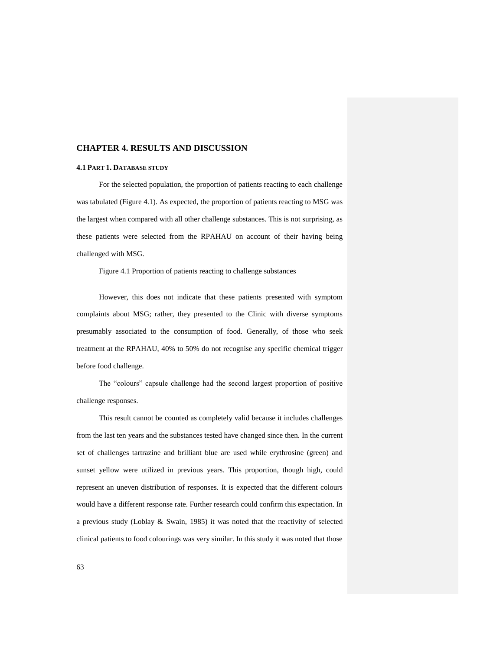# **CHAPTER 4. RESULTS AND DISCUSSION**

# **4.1 PART 1. DATABASE STUDY**

For the selected population, the proportion of patients reacting to each challenge was tabulated (Figure 4.1). As expected, the proportion of patients reacting to MSG was the largest when compared with all other challenge substances. This is not surprising, as these patients were selected from the RPAHAU on account of their having being challenged with MSG.

Figure 4.1 Proportion of patients reacting to challenge substances

However, this does not indicate that these patients presented with symptom complaints about MSG; rather, they presented to the Clinic with diverse symptoms presumably associated to the consumption of food. Generally, of those who seek treatment at the RPAHAU, 40% to 50% do not recognise any specific chemical trigger before food challenge.

The "colours" capsule challenge had the second largest proportion of positive challenge responses.

This result cannot be counted as completely valid because it includes challenges from the last ten years and the substances tested have changed since then. In the current set of challenges tartrazine and brilliant blue are used while erythrosine (green) and sunset yellow were utilized in previous years. This proportion, though high, could represent an uneven distribution of responses. It is expected that the different colours would have a different response rate. Further research could confirm this expectation. In a previous study (Loblay & Swain, 1985) it was noted that the reactivity of selected clinical patients to food colourings was very similar. In this study it was noted that those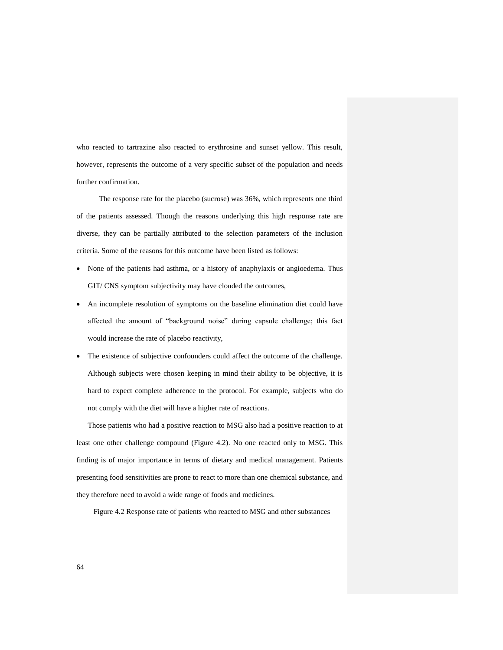who reacted to tartrazine also reacted to erythrosine and sunset yellow. This result, however, represents the outcome of a very specific subset of the population and needs further confirmation.

The response rate for the placebo (sucrose) was 36%, which represents one third of the patients assessed. Though the reasons underlying this high response rate are diverse, they can be partially attributed to the selection parameters of the inclusion criteria. Some of the reasons for this outcome have been listed as follows:

- None of the patients had asthma, or a history of anaphylaxis or angioedema. Thus GIT/ CNS symptom subjectivity may have clouded the outcomes,
- An incomplete resolution of symptoms on the baseline elimination diet could have affected the amount of "background noise" during capsule challenge; this fact would increase the rate of placebo reactivity,
- The existence of subjective confounders could affect the outcome of the challenge. Although subjects were chosen keeping in mind their ability to be objective, it is hard to expect complete adherence to the protocol. For example, subjects who do not comply with the diet will have a higher rate of reactions.

Those patients who had a positive reaction to MSG also had a positive reaction to at least one other challenge compound (Figure 4.2). No one reacted only to MSG. This finding is of major importance in terms of dietary and medical management. Patients presenting food sensitivities are prone to react to more than one chemical substance, and they therefore need to avoid a wide range of foods and medicines.

Figure 4.2 Response rate of patients who reacted to MSG and other substances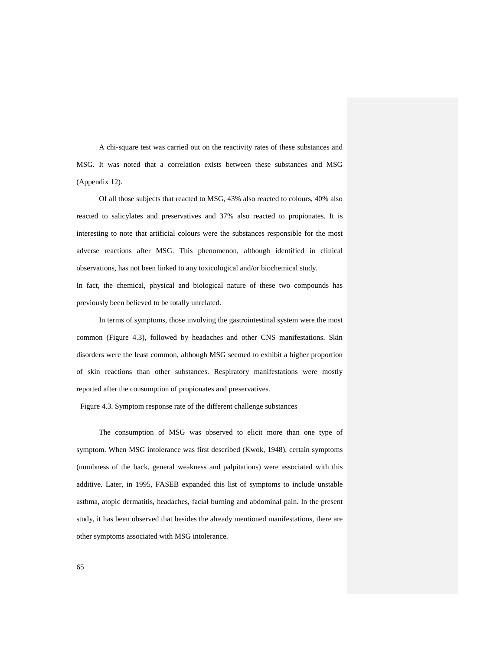A chi-square test was carried out on the reactivity rates of these substances and MSG. It was noted that a correlation exists between these substances and MSG (Appendix 12).

Of all those subjects that reacted to MSG, 43% also reacted to colours, 40% also reacted to salicylates and preservatives and 37% also reacted to propionates. It is interesting to note that artificial colours were the substances responsible for the most adverse reactions after MSG. This phenomenon, although identified in clinical observations, has not been linked to any toxicological and/or biochemical study.

In fact, the chemical, physical and biological nature of these two compounds has previously been believed to be totally unrelated.

In terms of symptoms, those involving the gastrointestinal system were the most common (Figure 4.3), followed by headaches and other CNS manifestations. Skin disorders were the least common, although MSG seemed to exhibit a higher proportion of skin reactions than other substances. Respiratory manifestations were mostly reported after the consumption of propionates and preservatives.

Figure 4.3. Symptom response rate of the different challenge substances

The consumption of MSG was observed to elicit more than one type of symptom. When MSG intolerance was first described (Kwok, 1948), certain symptoms (numbness of the back, general weakness and palpitations) were associated with this additive. Later, in 1995, FASEB expanded this list of symptoms to include unstable asthma, atopic dermatitis, headaches, facial burning and abdominal pain. In the present study, it has been observed that besides the already mentioned manifestations, there are other symptoms associated with MSG intolerance.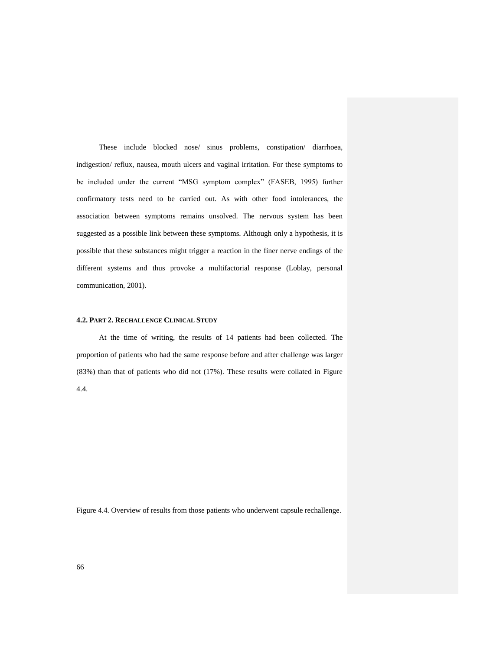These include blocked nose/ sinus problems, constipation/ diarrhoea, indigestion/ reflux, nausea, mouth ulcers and vaginal irritation. For these symptoms to be included under the current "MSG symptom complex" (FASEB, 1995) further confirmatory tests need to be carried out. As with other food intolerances, the association between symptoms remains unsolved. The nervous system has been suggested as a possible link between these symptoms. Although only a hypothesis, it is possible that these substances might trigger a reaction in the finer nerve endings of the different systems and thus provoke a multifactorial response (Loblay, personal communication, 2001).

# **4.2. PART 2. RECHALLENGE CLINICAL STUDY**

At the time of writing, the results of 14 patients had been collected. The proportion of patients who had the same response before and after challenge was larger (83%) than that of patients who did not (17%). These results were collated in Figure 4.4.

Figure 4.4. Overview of results from those patients who underwent capsule rechallenge.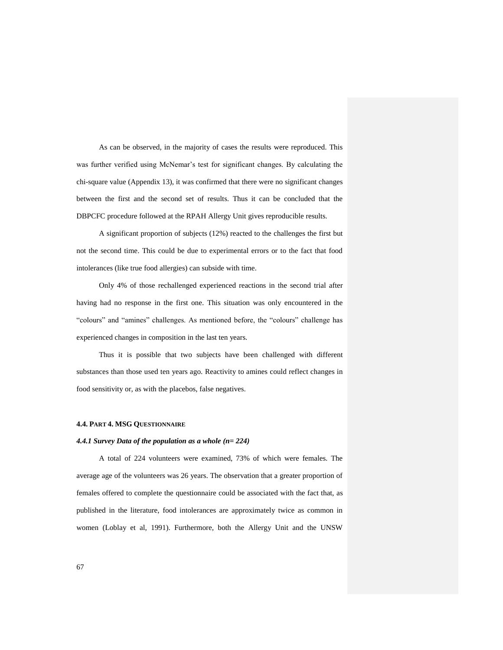As can be observed, in the majority of cases the results were reproduced. This was further verified using McNemar"s test for significant changes. By calculating the chi-square value (Appendix 13), it was confirmed that there were no significant changes between the first and the second set of results. Thus it can be concluded that the DBPCFC procedure followed at the RPAH Allergy Unit gives reproducible results.

A significant proportion of subjects (12%) reacted to the challenges the first but not the second time. This could be due to experimental errors or to the fact that food intolerances (like true food allergies) can subside with time.

Only 4% of those rechallenged experienced reactions in the second trial after having had no response in the first one. This situation was only encountered in the "colours" and "amines" challenges. As mentioned before, the "colours" challenge has experienced changes in composition in the last ten years.

Thus it is possible that two subjects have been challenged with different substances than those used ten years ago. Reactivity to amines could reflect changes in food sensitivity or, as with the placebos, false negatives.

### **4.4. PART 4. MSG QUESTIONNAIRE**

### *4.4.1 Survey Data of the population as a whole (n= 224)*

A total of 224 volunteers were examined, 73% of which were females. The average age of the volunteers was 26 years. The observation that a greater proportion of females offered to complete the questionnaire could be associated with the fact that, as published in the literature, food intolerances are approximately twice as common in women (Loblay et al, 1991). Furthermore, both the Allergy Unit and the UNSW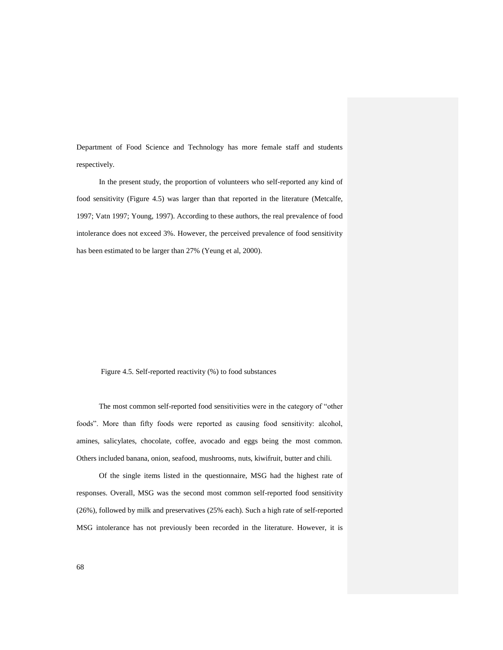Department of Food Science and Technology has more female staff and students respectively.

In the present study, the proportion of volunteers who self-reported any kind of food sensitivity (Figure 4.5) was larger than that reported in the literature (Metcalfe, 1997; Vatn 1997; Young, 1997). According to these authors, the real prevalence of food intolerance does not exceed 3%. However, the perceived prevalence of food sensitivity has been estimated to be larger than 27% (Yeung et al, 2000).

### Figure 4.5. Self-reported reactivity (%) to food substances

The most common self-reported food sensitivities were in the category of "other foods". More than fifty foods were reported as causing food sensitivity: alcohol, amines, salicylates, chocolate, coffee, avocado and eggs being the most common. Others included banana, onion, seafood, mushrooms, nuts, kiwifruit, butter and chili.

Of the single items listed in the questionnaire, MSG had the highest rate of responses. Overall, MSG was the second most common self-reported food sensitivity (26%), followed by milk and preservatives (25% each). Such a high rate of self-reported MSG intolerance has not previously been recorded in the literature. However, it is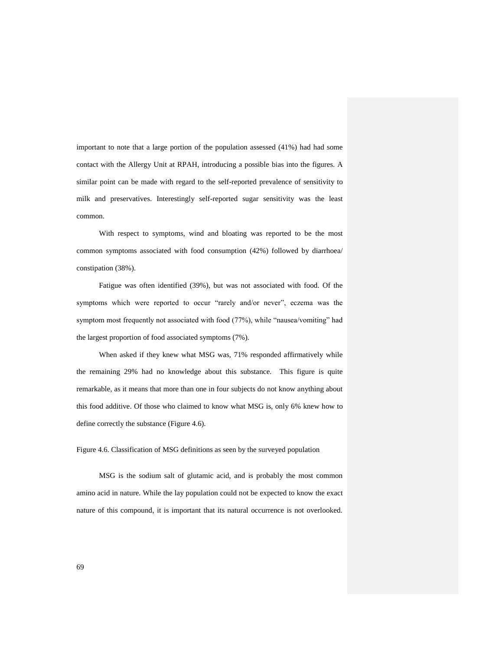important to note that a large portion of the population assessed (41%) had had some contact with the Allergy Unit at RPAH, introducing a possible bias into the figures. A similar point can be made with regard to the self-reported prevalence of sensitivity to milk and preservatives. Interestingly self-reported sugar sensitivity was the least common.

With respect to symptoms, wind and bloating was reported to be the most common symptoms associated with food consumption (42%) followed by diarrhoea/ constipation (38%).

Fatigue was often identified (39%), but was not associated with food. Of the symptoms which were reported to occur "rarely and/or never", eczema was the symptom most frequently not associated with food (77%), while "nausea/vomiting" had the largest proportion of food associated symptoms (7%).

When asked if they knew what MSG was, 71% responded affirmatively while the remaining 29% had no knowledge about this substance. This figure is quite remarkable, as it means that more than one in four subjects do not know anything about this food additive. Of those who claimed to know what MSG is, only 6% knew how to define correctly the substance (Figure 4.6).

Figure 4.6. Classification of MSG definitions as seen by the surveyed population

MSG is the sodium salt of glutamic acid, and is probably the most common amino acid in nature. While the lay population could not be expected to know the exact nature of this compound, it is important that its natural occurrence is not overlooked.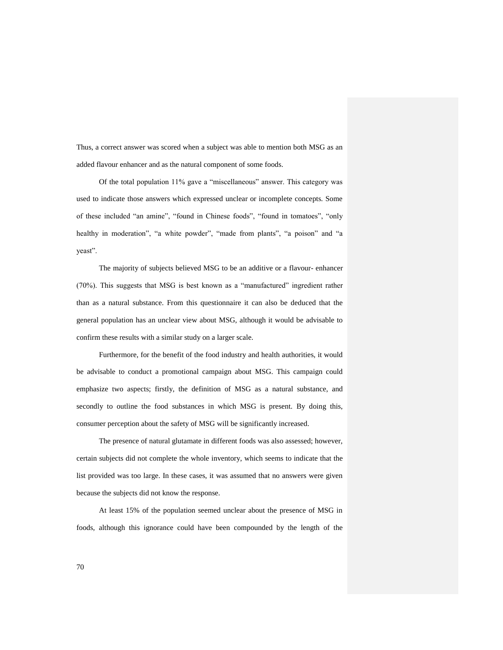Thus, a correct answer was scored when a subject was able to mention both MSG as an added flavour enhancer and as the natural component of some foods.

Of the total population 11% gave a "miscellaneous" answer. This category was used to indicate those answers which expressed unclear or incomplete concepts. Some of these included "an amine", "found in Chinese foods", "found in tomatoes", "only healthy in moderation", "a white powder", "made from plants", "a poison" and "a yeast".

The majority of subjects believed MSG to be an additive or a flavour- enhancer (70%). This suggests that MSG is best known as a "manufactured" ingredient rather than as a natural substance. From this questionnaire it can also be deduced that the general population has an unclear view about MSG, although it would be advisable to confirm these results with a similar study on a larger scale.

Furthermore, for the benefit of the food industry and health authorities, it would be advisable to conduct a promotional campaign about MSG. This campaign could emphasize two aspects; firstly, the definition of MSG as a natural substance, and secondly to outline the food substances in which MSG is present. By doing this, consumer perception about the safety of MSG will be significantly increased.

The presence of natural glutamate in different foods was also assessed; however, certain subjects did not complete the whole inventory, which seems to indicate that the list provided was too large. In these cases, it was assumed that no answers were given because the subjects did not know the response.

At least 15% of the population seemed unclear about the presence of MSG in foods, although this ignorance could have been compounded by the length of the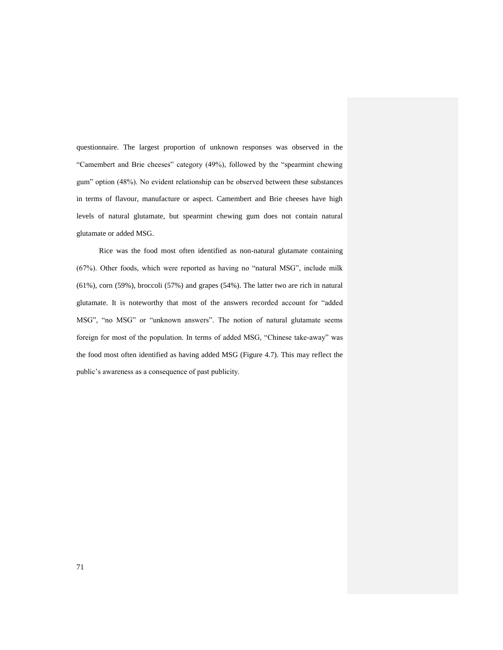questionnaire. The largest proportion of unknown responses was observed in the "Camembert and Brie cheeses" category (49%), followed by the "spearmint chewing gum" option (48%). No evident relationship can be observed between these substances in terms of flavour, manufacture or aspect. Camembert and Brie cheeses have high levels of natural glutamate, but spearmint chewing gum does not contain natural glutamate or added MSG.

Rice was the food most often identified as non-natural glutamate containing (67%). Other foods, which were reported as having no "natural MSG", include milk (61%), corn (59%), broccoli (57%) and grapes (54%). The latter two are rich in natural glutamate. It is noteworthy that most of the answers recorded account for "added MSG", "no MSG" or "unknown answers". The notion of natural glutamate seems foreign for most of the population. In terms of added MSG, "Chinese take-away" was the food most often identified as having added MSG (Figure 4.7). This may reflect the public"s awareness as a consequence of past publicity.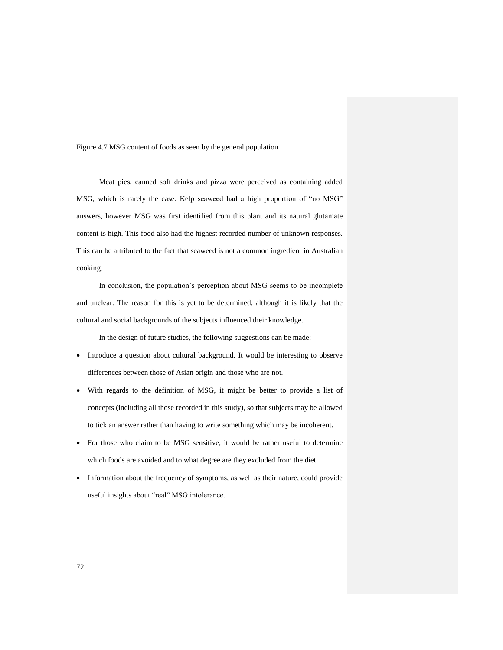Figure 4.7 MSG content of foods as seen by the general population

Meat pies, canned soft drinks and pizza were perceived as containing added MSG, which is rarely the case. Kelp seaweed had a high proportion of "no MSG" answers, however MSG was first identified from this plant and its natural glutamate content is high. This food also had the highest recorded number of unknown responses. This can be attributed to the fact that seaweed is not a common ingredient in Australian cooking.

In conclusion, the population"s perception about MSG seems to be incomplete and unclear. The reason for this is yet to be determined, although it is likely that the cultural and social backgrounds of the subjects influenced their knowledge.

In the design of future studies, the following suggestions can be made:

- Introduce a question about cultural background. It would be interesting to observe differences between those of Asian origin and those who are not.
- With regards to the definition of MSG, it might be better to provide a list of concepts (including all those recorded in this study), so that subjects may be allowed to tick an answer rather than having to write something which may be incoherent.
- For those who claim to be MSG sensitive, it would be rather useful to determine which foods are avoided and to what degree are they excluded from the diet.
- Information about the frequency of symptoms, as well as their nature, could provide useful insights about "real" MSG intolerance.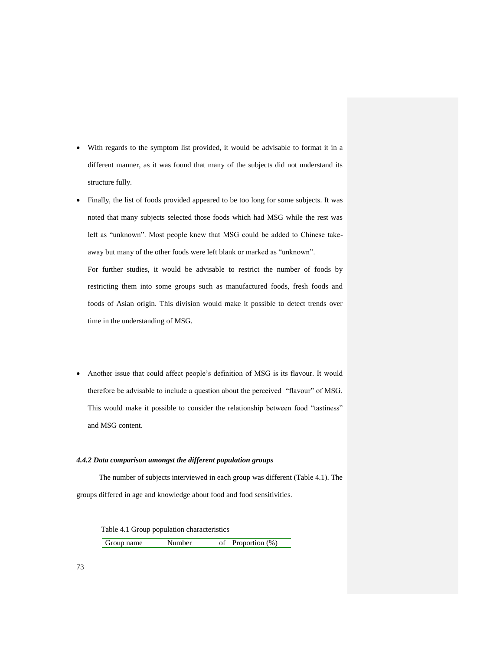- With regards to the symptom list provided, it would be advisable to format it in a different manner, as it was found that many of the subjects did not understand its structure fully.
- Finally, the list of foods provided appeared to be too long for some subjects. It was noted that many subjects selected those foods which had MSG while the rest was left as "unknown". Most people knew that MSG could be added to Chinese takeaway but many of the other foods were left blank or marked as "unknown".

For further studies, it would be advisable to restrict the number of foods by restricting them into some groups such as manufactured foods, fresh foods and foods of Asian origin. This division would make it possible to detect trends over time in the understanding of MSG.

 Another issue that could affect people"s definition of MSG is its flavour. It would therefore be advisable to include a question about the perceived "flavour" of MSG. This would make it possible to consider the relationship between food "tastiness" and MSG content.

### *4.4.2 Data comparison amongst the different population groups*

The number of subjects interviewed in each group was different (Table 4.1). The groups differed in age and knowledge about food and food sensitivities.

Table 4.1 Group population characteristics

Group name Number of Proportion (%)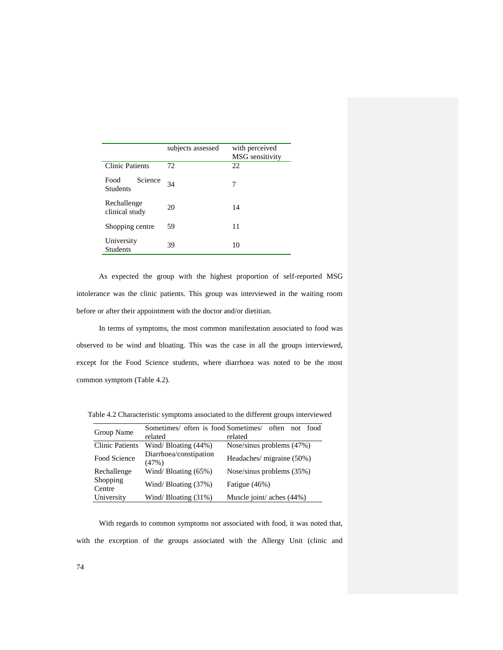|                                    | subjects assessed | with perceived<br>MSG sensitivity |
|------------------------------------|-------------------|-----------------------------------|
| <b>Clinic Patients</b>             | 72                | 22.                               |
| Science<br>Food<br><b>Students</b> | 34                | 7                                 |
| Rechallenge<br>clinical study      | 20                | 14                                |
| Shopping centre                    | 59                | 11                                |
| University<br><b>Students</b>      | 39                | 10                                |

As expected the group with the highest proportion of self-reported MSG intolerance was the clinic patients. This group was interviewed in the waiting room before or after their appointment with the doctor and/or dietitian.

In terms of symptoms, the most common manifestation associated to food was observed to be wind and bloating. This was the case in all the groups interviewed, except for the Food Science students, where diarrhoea was noted to be the most common symptom (Table 4.2).

Table 4.2 Characteristic symptoms associated to the different groups interviewed

| Group Name             | Sometimes/ often is food Sometimes/ | often not food              |
|------------------------|-------------------------------------|-----------------------------|
|                        | related                             | related                     |
| <b>Clinic Patients</b> | Wind/Bloating (44%)                 | Nose/sinus problems $(47%)$ |
| Food Science           | Diarrhoea/constipation<br>(47%)     | Headaches/ migraine (50%)   |
| Rechallenge            | Wind/Bloating $(65\%)$              | Nose/sinus problems (35%)   |
| Shopping<br>Centre     | Wind/Bloating (37%)                 | Fatigue (46%)               |
| University             | Wind/Bloating $(31\%)$              | Muscle joint/ aches (44%)   |

With regards to common symptoms not associated with food, it was noted that, with the exception of the groups associated with the Allergy Unit (clinic and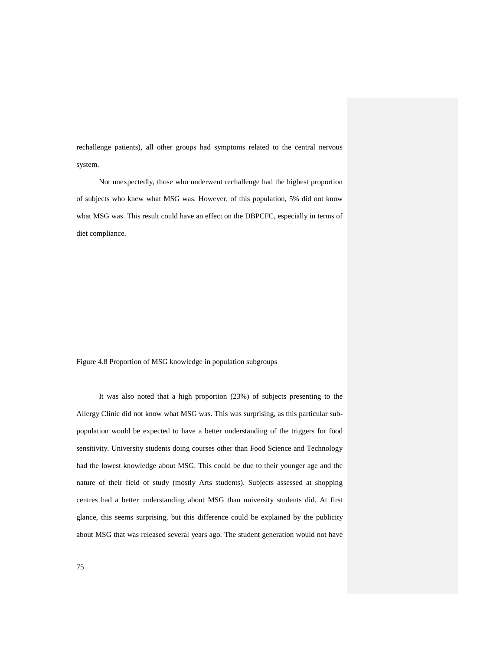rechallenge patients), all other groups had symptoms related to the central nervous system.

Not unexpectedly, those who underwent rechallenge had the highest proportion of subjects who knew what MSG was. However, of this population, 5% did not know what MSG was. This result could have an effect on the DBPCFC, especially in terms of diet compliance.

Figure 4.8 Proportion of MSG knowledge in population subgroups

It was also noted that a high proportion (23%) of subjects presenting to the Allergy Clinic did not know what MSG was. This was surprising, as this particular subpopulation would be expected to have a better understanding of the triggers for food sensitivity. University students doing courses other than Food Science and Technology had the lowest knowledge about MSG. This could be due to their younger age and the nature of their field of study (mostly Arts students). Subjects assessed at shopping centres had a better understanding about MSG than university students did. At first glance, this seems surprising, but this difference could be explained by the publicity about MSG that was released several years ago. The student generation would not have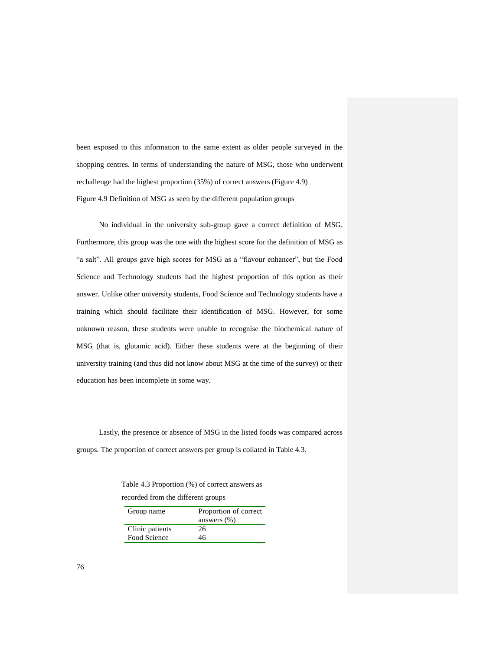been exposed to this information to the same extent as older people surveyed in the shopping centres. In terms of understanding the nature of MSG, those who underwent rechallenge had the highest proportion (35%) of correct answers (Figure 4.9) Figure 4.9 Definition of MSG as seen by the different population groups

No individual in the university sub-group gave a correct definition of MSG. Furthermore, this group was the one with the highest score for the definition of MSG as "a salt". All groups gave high scores for MSG as a "flavour enhancer", but the Food Science and Technology students had the highest proportion of this option as their answer. Unlike other university students, Food Science and Technology students have a training which should facilitate their identification of MSG. However, for some unknown reason, these students were unable to recognise the biochemical nature of MSG (that is, glutamic acid). Either these students were at the beginning of their university training (and thus did not know about MSG at the time of the survey) or their education has been incomplete in some way.

Lastly, the presence or absence of MSG in the listed foods was compared across groups. The proportion of correct answers per group is collated in Table 4.3.

 Table 4.3 Proportion (%) of correct answers as recorded from the different groups

| Group name      | Proportion of correct<br>answers $(\%)$ |
|-----------------|-----------------------------------------|
| Clinic patients | 26                                      |
| Food Science    | 16                                      |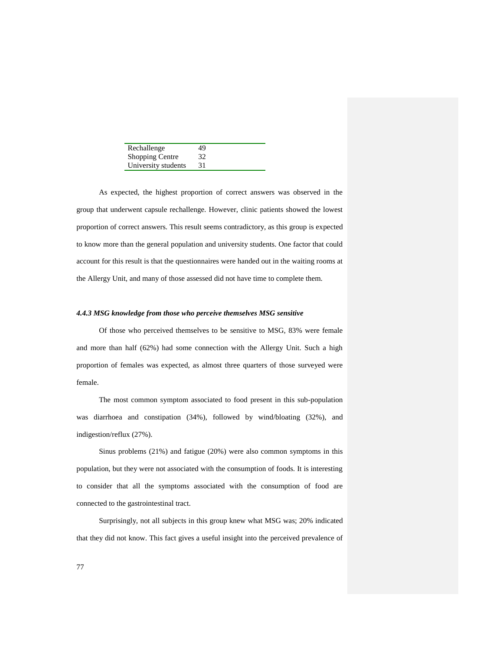| Rechallenge            | 49 |
|------------------------|----|
| <b>Shopping Centre</b> | 32 |
| University students    | 31 |

As expected, the highest proportion of correct answers was observed in the group that underwent capsule rechallenge. However, clinic patients showed the lowest proportion of correct answers. This result seems contradictory, as this group is expected to know more than the general population and university students. One factor that could account for this result is that the questionnaires were handed out in the waiting rooms at the Allergy Unit, and many of those assessed did not have time to complete them.

#### *4.4.3 MSG knowledge from those who perceive themselves MSG sensitive*

Of those who perceived themselves to be sensitive to MSG, 83% were female and more than half (62%) had some connection with the Allergy Unit. Such a high proportion of females was expected, as almost three quarters of those surveyed were female.

The most common symptom associated to food present in this sub-population was diarrhoea and constipation (34%), followed by wind/bloating (32%), and indigestion/reflux (27%).

Sinus problems (21%) and fatigue (20%) were also common symptoms in this population, but they were not associated with the consumption of foods. It is interesting to consider that all the symptoms associated with the consumption of food are connected to the gastrointestinal tract.

Surprisingly, not all subjects in this group knew what MSG was; 20% indicated that they did not know. This fact gives a useful insight into the perceived prevalence of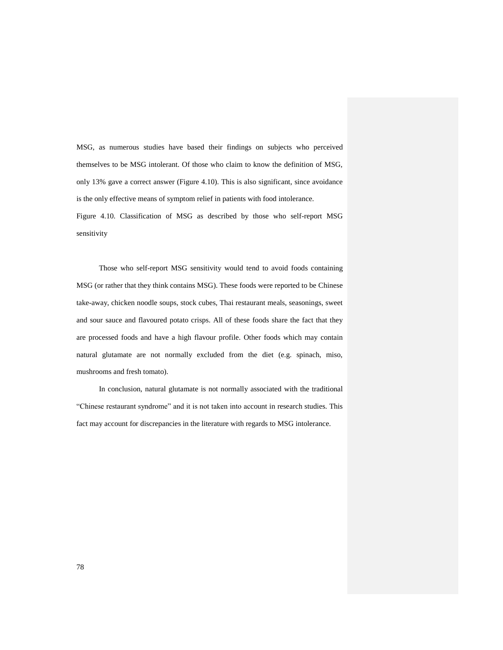MSG, as numerous studies have based their findings on subjects who perceived themselves to be MSG intolerant. Of those who claim to know the definition of MSG, only 13% gave a correct answer (Figure 4.10). This is also significant, since avoidance is the only effective means of symptom relief in patients with food intolerance. Figure 4.10. Classification of MSG as described by those who self-report MSG

sensitivity

Those who self-report MSG sensitivity would tend to avoid foods containing MSG (or rather that they think contains MSG). These foods were reported to be Chinese take-away, chicken noodle soups, stock cubes, Thai restaurant meals, seasonings, sweet and sour sauce and flavoured potato crisps. All of these foods share the fact that they are processed foods and have a high flavour profile. Other foods which may contain natural glutamate are not normally excluded from the diet (e.g. spinach, miso, mushrooms and fresh tomato).

In conclusion, natural glutamate is not normally associated with the traditional "Chinese restaurant syndrome" and it is not taken into account in research studies. This fact may account for discrepancies in the literature with regards to MSG intolerance.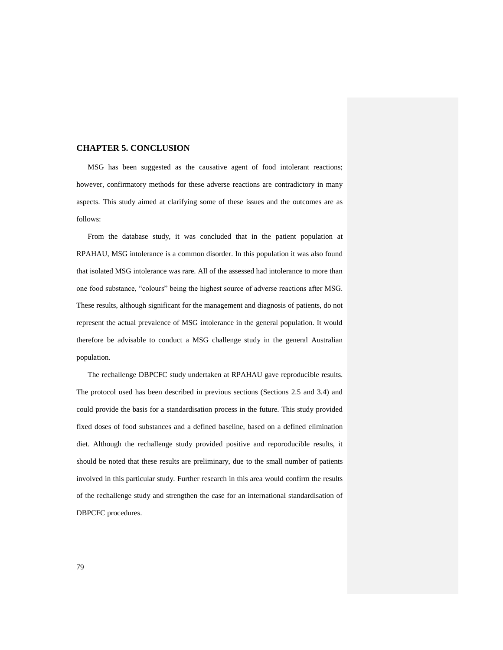# **CHAPTER 5. CONCLUSION**

MSG has been suggested as the causative agent of food intolerant reactions; however, confirmatory methods for these adverse reactions are contradictory in many aspects. This study aimed at clarifying some of these issues and the outcomes are as follows:

From the database study, it was concluded that in the patient population at RPAHAU, MSG intolerance is a common disorder. In this population it was also found that isolated MSG intolerance was rare. All of the assessed had intolerance to more than one food substance, "colours" being the highest source of adverse reactions after MSG. These results, although significant for the management and diagnosis of patients, do not represent the actual prevalence of MSG intolerance in the general population. It would therefore be advisable to conduct a MSG challenge study in the general Australian population.

The rechallenge DBPCFC study undertaken at RPAHAU gave reproducible results. The protocol used has been described in previous sections (Sections 2.5 and 3.4) and could provide the basis for a standardisation process in the future. This study provided fixed doses of food substances and a defined baseline, based on a defined elimination diet. Although the rechallenge study provided positive and reporoducible results, it should be noted that these results are preliminary, due to the small number of patients involved in this particular study. Further research in this area would confirm the results of the rechallenge study and strengthen the case for an international standardisation of DBPCFC procedures.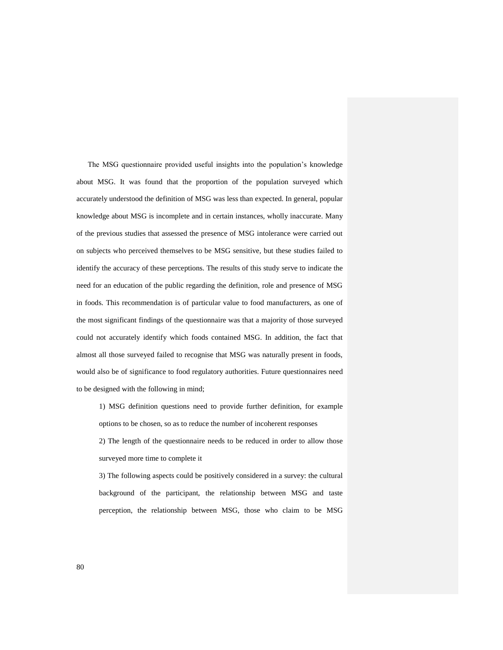The MSG questionnaire provided useful insights into the population"s knowledge about MSG. It was found that the proportion of the population surveyed which accurately understood the definition of MSG was less than expected. In general, popular knowledge about MSG is incomplete and in certain instances, wholly inaccurate. Many of the previous studies that assessed the presence of MSG intolerance were carried out on subjects who perceived themselves to be MSG sensitive, but these studies failed to identify the accuracy of these perceptions. The results of this study serve to indicate the need for an education of the public regarding the definition, role and presence of MSG in foods. This recommendation is of particular value to food manufacturers, as one of the most significant findings of the questionnaire was that a majority of those surveyed could not accurately identify which foods contained MSG. In addition, the fact that almost all those surveyed failed to recognise that MSG was naturally present in foods, would also be of significance to food regulatory authorities. Future questionnaires need to be designed with the following in mind;

1) MSG definition questions need to provide further definition, for example options to be chosen, so as to reduce the number of incoherent responses

2) The length of the questionnaire needs to be reduced in order to allow those surveyed more time to complete it

3) The following aspects could be positively considered in a survey: the cultural background of the participant, the relationship between MSG and taste perception, the relationship between MSG, those who claim to be MSG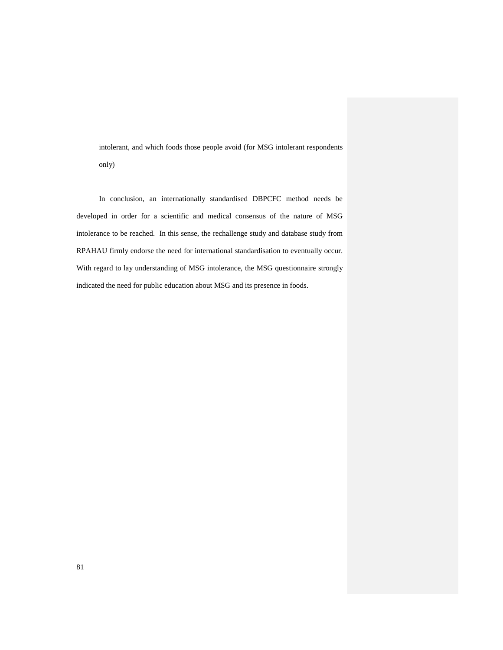intolerant, and which foods those people avoid (for MSG intolerant respondents only)

In conclusion, an internationally standardised DBPCFC method needs be developed in order for a scientific and medical consensus of the nature of MSG intolerance to be reached. In this sense, the rechallenge study and database study from RPAHAU firmly endorse the need for international standardisation to eventually occur. With regard to lay understanding of MSG intolerance, the MSG questionnaire strongly indicated the need for public education about MSG and its presence in foods.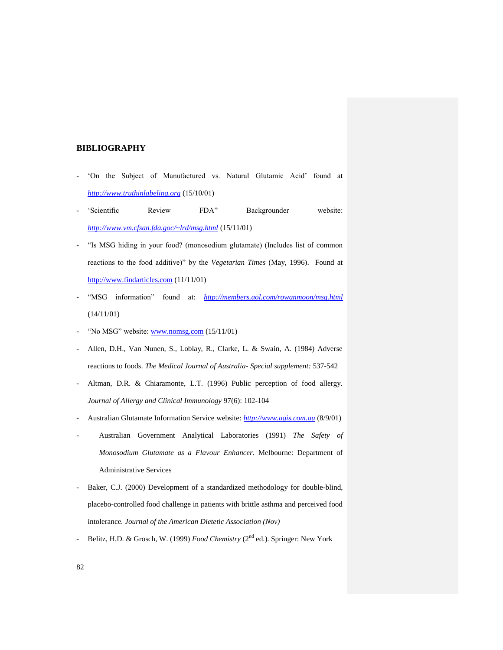# **BIBLIOGRAPHY**

- 'On the Subject of Manufactured vs. Natural Glutamic Acid' found at *[http://www.truthinlabeling.org](http://www.truthinlabeling.org/)* (15/10/01)
- 'Scientific Review FDA" Backgrounder website: *<http://www.vm.cfsan.fda.goc/~lrd/msg.html>* (15/11/01)
- "Is MSG hiding in your food? (monosodium glutamate) (Includes list of common reactions to the food additive)" by the *Vegetarian Times* (May, 1996). Found at [http://www.findarticles.com](http://www.findarticles.com/) (11/11/01)
- "MSG information" found at: *<http://members.aol.com/rowanmoon/msg.html>* (14/11/01)
- "No MSG" website[: www.nomsg.com](http://www.nomsg.com/) (15/11/01)
- Allen, D.H., Van Nunen, S., Loblay, R., Clarke, L. & Swain, A. (1984) Adverse reactions to foods. *The Medical Journal of Australia- Special supplement:* 537-542
- Altman, D.R. & Chiaramonte, L.T. (1996) Public perception of food allergy. *Journal of Allergy and Clinical Immunology* 97(6): 102-104
- Australian Glutamate Information Service website: *[http://www.agis.com.au](http://www.agis.com.au/)* (8/9/01)
- Australian Government Analytical Laboratories (1991) *The Safety of Monosodium Glutamate as a Flavour Enhancer*. Melbourne: Department of Administrative Services
- Baker, C.J. (2000) Development of a standardized methodology for double-blind, placebo-controlled food challenge in patients with brittle asthma and perceived food intolerance*. Journal of the American Dietetic Association (Nov)*
- Belitz, H.D. & Grosch, W. (1999) *Food Chemistry* (2nd ed.). Springer: New York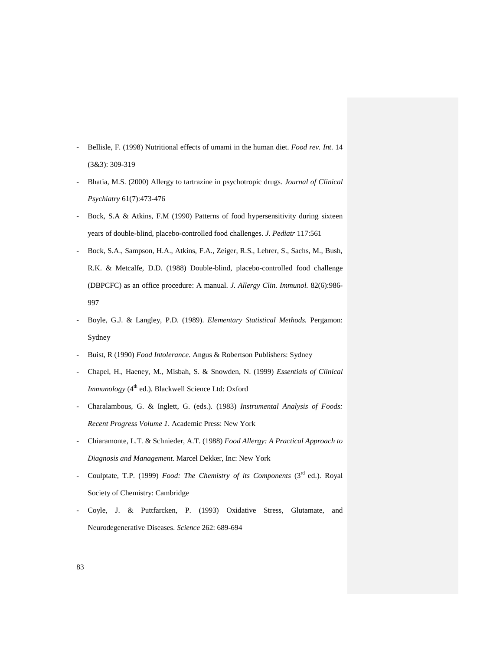- Bellisle, F. (1998) Nutritional effects of umami in the human diet. *Food rev. Int*. 14 (3&3): 309-319
- Bhatia, M.S. (2000) Allergy to tartrazine in psychotropic drugs. *Journal of Clinical Psychiatry* 61(7):473-476
- Bock, S.A & Atkins, F.M (1990) Patterns of food hypersensitivity during sixteen years of double-blind, placebo-controlled food challenges. *J. Pediatr* 117:561
- Bock, S.A., Sampson, H.A., Atkins, F.A., Zeiger, R.S., Lehrer, S., Sachs, M., Bush, R.K. & Metcalfe, D.D. (1988) Double-blind, placebo-controlled food challenge (DBPCFC) as an office procedure: A manual. *J. Allergy Clin. Immunol.* 82(6):986- 997
- Boyle, G.J. & Langley, P.D. (1989). *Elementary Statistical Methods.* Pergamon: Sydney
- Buist, R (1990) *Food Intolerance*. Angus & Robertson Publishers: Sydney
- Chapel, H., Haeney, M., Misbah, S. & Snowden, N. (1999) *Essentials of Clinical Immunology* (4<sup>th</sup> ed.). Blackwell Science Ltd: Oxford
- Charalambous, G. & Inglett, G. (eds.). (1983) *Instrumental Analysis of Foods: Recent Progress Volume 1*. Academic Press: New York
- Chiaramonte, L.T. & Schnieder, A.T. (1988) *Food Allergy: A Practical Approach to Diagnosis and Management*. Marcel Dekker, Inc: New York
- Coulptate, T.P. (1999) *Food: The Chemistry of its Components* (3<sup>rd</sup> ed.). Royal Society of Chemistry: Cambridge
- Coyle, J. & Puttfarcken, P. (1993) Oxidative Stress, Glutamate, and Neurodegenerative Diseases. *Science* 262: 689-694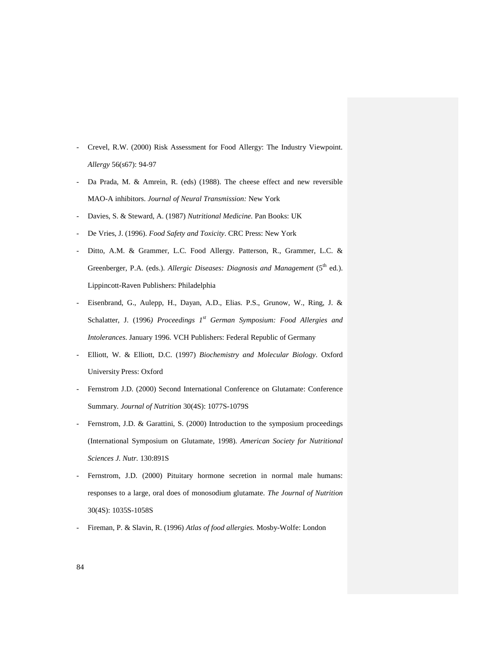- Crevel, R.W. (2000) Risk Assessment for Food Allergy: The Industry Viewpoint. *Allergy* 56(s67): 94-97
- Da Prada, M. & Amrein, R. (eds) (1988). The cheese effect and new reversible MAO-A inhibitors. *Journal of Neural Transmission:* New York
- Davies, S. & Steward, A. (1987) *Nutritional Medicine.* Pan Books: UK
- De Vries, J. (1996). *Food Safety and Toxicity*. CRC Press: New York
- Ditto, A.M. & Grammer, L.C. Food Allergy. Patterson, R., Grammer, L.C. & Greenberger, P.A. (eds.). *Allergic Diseases: Diagnosis and Management* (5<sup>th</sup> ed.). Lippincott-Raven Publishers: Philadelphia
- Eisenbrand, G., Aulepp, H., Dayan, A.D., Elias. P.S., Grunow, W., Ring, J. & Schalatter, J. (1996*) Proceedings 1st German Symposium: Food Allergies and Intolerances*. January 1996. VCH Publishers: Federal Republic of Germany
- Elliott, W. & Elliott, D.C. (1997) *Biochemistry and Molecular Biology*. Oxford University Press: Oxford
- Fernstrom J.D. (2000) Second International Conference on Glutamate: Conference Summary. *Journal of Nutrition* 30(4S): 1077S-1079S
- Fernstrom, J.D. & Garattini, S. (2000) Introduction to the symposium proceedings (International Symposium on Glutamate, 1998). *American Society for Nutritional Sciences J. Nutr.* 130:891S
- Fernstrom, J.D. (2000) Pituitary hormone secretion in normal male humans: responses to a large, oral does of monosodium glutamate. *The Journal of Nutrition*  30(4S): 1035S-1058S
- Fireman, P. & Slavin, R. (1996) *Atlas of food allergies.* Mosby-Wolfe: London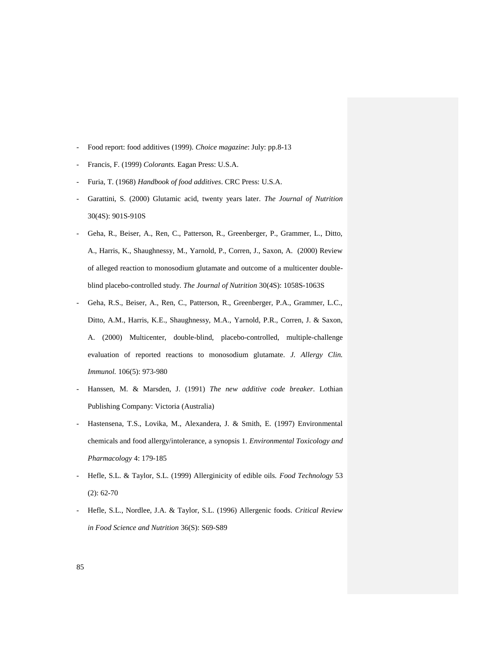- Food report: food additives (1999). *Choice magazine*: July: pp.8-13
- Francis, F. (1999) *Colorants.* Eagan Press: U.S.A.
- Furia, T. (1968) *Handbook of food additives*. CRC Press: U.S.A.
- Garattini, S. (2000) Glutamic acid, twenty years later. *The Journal of Nutrition*  30(4S): 901S-910S
- Geha, R., Beiser, A., Ren, C., Patterson, R., Greenberger, P., Grammer, L., Ditto, A., Harris, K., Shaughnessy, M., Yarnold, P., Corren, J., Saxon, A. (2000) Review of alleged reaction to monosodium glutamate and outcome of a multicenter doubleblind placebo-controlled study. *The Journal of Nutrition* 30(4S): 1058S-1063S
- Geha, R.S., Beiser, A., Ren, C., Patterson, R., Greenberger, P.A., Grammer, L.C., Ditto, A.M., Harris, K.E., Shaughnessy, M.A., Yarnold, P.R., Corren, J. & Saxon, A. (2000) Multicenter, double-blind, placebo-controlled, multiple-challenge evaluation of reported reactions to monosodium glutamate. *J. Allergy Clin. Immunol.* 106(5): 973-980
- Hanssen, M. & Marsden, J. (1991) *The new additive code breaker*. Lothian Publishing Company: Victoria (Australia)
- Hastensena, T.S., Lovika, M., Alexandera, J. & Smith, E. (1997) Environmental chemicals and food allergy/intolerance, a synopsis 1*. Environmental Toxicology and Pharmacology* 4: 179-185
- Hefle, S.L. & Taylor, S.L. (1999) Allerginicity of edible oils. *Food Technology* 53 (2): 62-70
- Hefle, S.L., Nordlee, J.A. & Taylor, S.L. (1996) Allergenic foods. *Critical Review in Food Science and Nutrition* 36(S): S69-S89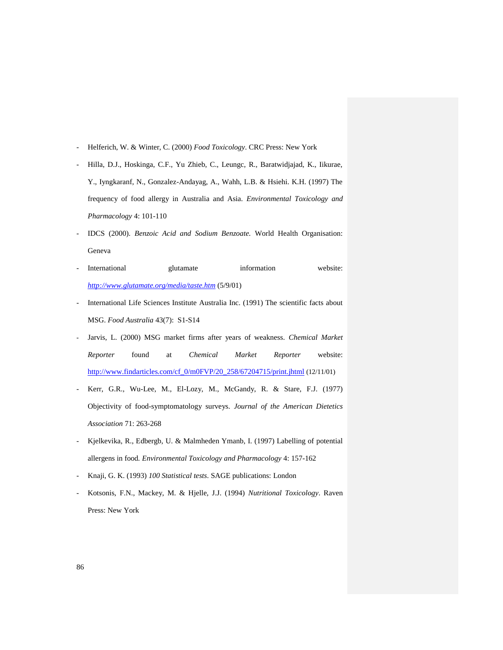- Helferich, W. & Winter, C. (2000) *Food Toxicology*. CRC Press: New York
- Hilla, D.J., Hoskinga, C.F., Yu Zhieb, C., Leungc, R., Baratwidjajad, K., Iikurae, Y., Iyngkaranf, N., Gonzalez-Andayag, A., Wahh, L.B. & Hsiehi. K.H. (1997) The frequency of food allergy in Australia and Asia. *Environmental Toxicology and Pharmacology* 4: 101-110
- IDCS (2000). *Benzoic Acid and Sodium Benzoate.* World Health Organisation: Geneva
- International glutamate information website: *<http://www.glutamate.org/media/taste.htm>* (5/9/01)
- International Life Sciences Institute Australia Inc. (1991) The scientific facts about MSG. *Food Australia* 43(7): S1-S14
- Jarvis, L. (2000) MSG market firms after years of weakness. *Chemical Market Reporter* found at *Chemical Market Reporter* website: [http://www.findarticles.com/cf\\_0/m0FVP/20\\_258/67204715/print.jhtml](http://www.findarticles.com/cf_0/m0FVP/20_258/67204715/print.jhtml) (12/11/01)
- Kerr, G.R., Wu-Lee, M., El-Lozy, M., McGandy, R. & Stare, F.J. (1977) Objectivity of food-symptomatology surveys. *Journal of the American Dietetics Association* 71: 263-268
- Kjelkevika, R., Edbergb, U. & Malmheden Ymanb, I. (1997) Labelling of potential allergens in food*. Environmental Toxicology and Pharmacology* 4: 157-162
- Knaji, G. K. (1993) *100 Statistical tests*. SAGE publications: London
- Kotsonis, F.N., Mackey, M. & Hjelle, J.J. (1994) *Nutritional Toxicology*. Raven Press: New York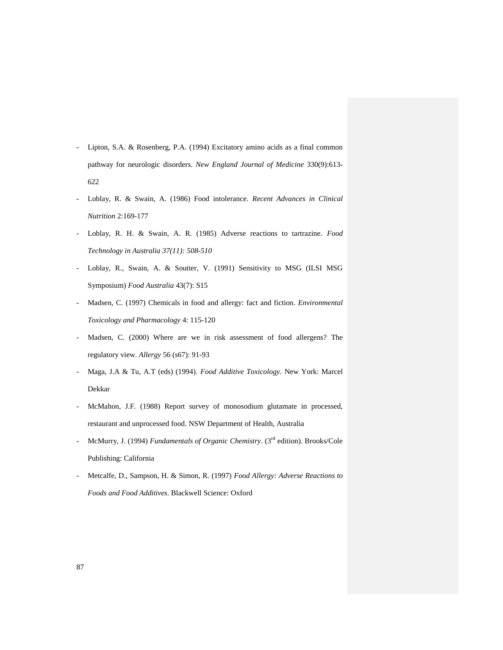- Lipton, S.A. & Rosenberg, P.A. (1994) Excitatory amino acids as a final common pathway for neurologic disorders. *New England Journal of Medicine* 330(9):613- 622
- Loblay, R. & Swain, A. (1986) Food intolerance. *Recent Advances in Clinical Nutrition* 2:169-177
- Loblay, R. H. & Swain, A. R. (1985) Adverse reactions to tartrazine. *Food Technology in Australia 37(11): 508-510*
- Loblay, R., Swain, A. & Soutter, V. (1991) Sensitivity to MSG (ILSI MSG Symposium) *Food Australia* 43(7): S15
- Madsen, C. (1997) Chemicals in food and allergy: fact and fiction. *Environmental Toxicology and Pharmacology* 4: 115-120
- Madsen, C. (2000) Where are we in risk assessment of food allergens? The regulatory view. *Allergy* 56 (s67): 91-93
- Maga, J.A & Tu, A.T (eds) (1994). *Food Additive Toxicology.* New York: Marcel Dekkar
- McMahon, J.F. (1988) Report survey of monosodium glutamate in processed, restaurant and unprocessed food. NSW Department of Health, Australia
- McMurry, J. (1994) *Fundamentals of Organic Chemistry*. (3<sup>rd</sup> edition). Brooks/Cole Publishing: California
- Metcalfe, D., Sampson, H. & Simon, R. (1997) *Food Allergy: Adverse Reactions to Foods and Food Additives*. Blackwell Science: Oxford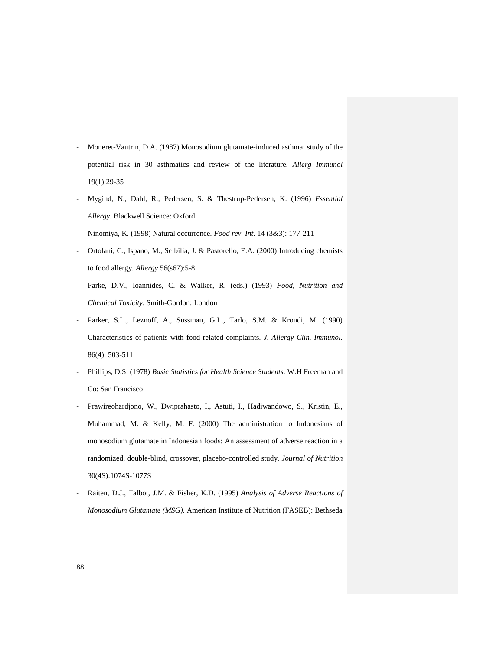- Moneret-Vautrin, D.A. (1987) Monosodium glutamate-induced asthma: study of the potential risk in 30 asthmatics and review of the literature. *Allerg Immunol* 19(1):29-35
- Mygind, N., Dahl, R., Pedersen, S. & Thestrup-Pedersen, K. (1996) *Essential Allergy*. Blackwell Science: Oxford
- Ninomiya, K. (1998) Natural occurrence. *Food rev. Int*. 14 (3&3): 177-211
- Ortolani, C., Ispano, M., Scibilia, J. & Pastorello, E.A. (2000) Introducing chemists to food allergy. *Allergy* 56(s67):5-8
- Parke, D.V., Ioannides, C. & Walker, R. (eds.) (1993) *Food, Nutrition and Chemical Toxicity*. Smith-Gordon: London
- Parker, S.L., Leznoff, A., Sussman, G.L., Tarlo, S.M. & Krondi, M. (1990) Characteristics of patients with food-related complaints. *J. Allergy Clin. Immunol.*  86(4): 503-511
- Phillips, D.S. (1978) *Basic Statistics for Health Science Students*. W.H Freeman and Co: San Francisco
- Prawireohardjono, W., Dwiprahasto, I., Astuti, I., Hadiwandowo, S., Kristin, E., Muhammad, M. & Kelly, M. F. (2000) The administration to Indonesians of monosodium glutamate in Indonesian foods: An assessment of adverse reaction in a randomized, double-blind, crossover, placebo-controlled study. *Journal of Nutrition*  30(4S):1074S-1077S
- Raiten, D.J., Talbot, J.M. & Fisher, K.D. (1995) *Analysis of Adverse Reactions of Monosodium Glutamate (MSG)*. American Institute of Nutrition (FASEB): Bethseda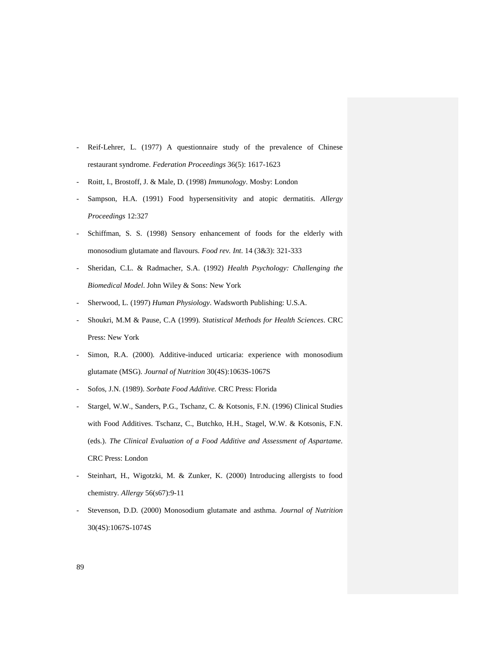- Reif-Lehrer, L. (1977) A questionnaire study of the prevalence of Chinese restaurant syndrome. *Federation Proceedings* 36(5): 1617-1623
- Roitt, I., Brostoff, J. & Male, D. (1998) *Immunology*. Mosby: London
- Sampson, H.A. (1991) Food hypersensitivity and atopic dermatitis. *Allergy Proceedings* 12:327
- Schiffman, S. S. (1998) Sensory enhancement of foods for the elderly with monosodium glutamate and flavours. *Food rev. Int*. 14 (3&3): 321-333
- Sheridan, C.L. & Radmacher, S.A. (1992) *Health Psychology: Challenging the Biomedical Model*. John Wiley & Sons: New York
- Sherwood, L. (1997) *Human Physiology*. Wadsworth Publishing: U.S.A.
- Shoukri, M.M & Pause, C.A (1999). *Statistical Methods for Health Sciences*. CRC Press: New York
- Simon, R.A. (2000). Additive-induced urticaria: experience with monosodium glutamate (MSG). *Journal of Nutrition* 30(4S):1063S-1067S
- Sofos, J.N. (1989). *Sorbate Food Additive.* CRC Press: Florida
- Stargel, W.W., Sanders, P.G., Tschanz, C. & Kotsonis, F.N. (1996) Clinical Studies with Food Additives. Tschanz, C., Butchko, H.H., Stagel, W.W. & Kotsonis, F.N. (eds.). *The Clinical Evaluation of a Food Additive and Assessment of Aspartame.* CRC Press: London
- Steinhart, H., Wigotzki, M. & Zunker, K. (2000) Introducing allergists to food chemistry. *Allergy* 56(s67):9-11
- Stevenson, D.D. (2000) Monosodium glutamate and asthma. *Journal of Nutrition* 30(4S):1067S-1074S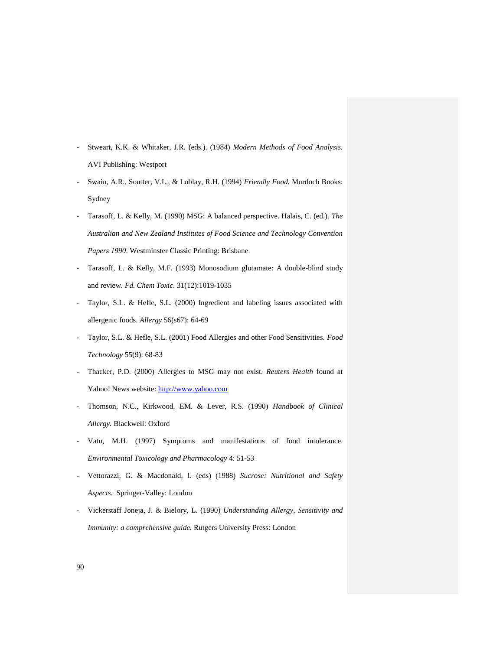- Stweart, K.K. & Whitaker, J.R. (eds.). (1984) *Modern Methods of Food Analysis.*  AVI Publishing: Westport
- Swain, A.R., Soutter, V.L., & Loblay, R.H. (1994) *Friendly Food.* Murdoch Books: Sydney
- Tarasoff, L. & Kelly, M. (1990) MSG: A balanced perspective. Halais, C. (ed.). *The Australian and New Zealand Institutes of Food Science and Technology Convention Papers 1990*. Westminster Classic Printing: Brisbane
- Tarasoff, L. & Kelly, M.F. (1993) Monosodium glutamate: A double-blind study and review. *Fd. Chem Toxic*. 31(12):1019-1035
- Taylor, S.L. & Hefle, S.L. (2000) Ingredient and labeling issues associated with allergenic foods. *Allergy* 56(s67): 64-69
- Taylor, S.L. & Hefle, S.L. (2001) Food Allergies and other Food Sensitivities. *Food Technology* 55(9): 68-83
- Thacker, P.D. (2000) Allergies to MSG may not exist. *Reuters Health* found at Yahoo! News website: [http://www.yahoo.com](http://www.yahoo.com/)
- Thomson, N.C., Kirkwood, EM. & Lever, R.S. (1990) *Handbook of Clinical Allergy.* Blackwell: Oxford
- Vatn, M.H. (1997) Symptoms and manifestations of food intolerance. *Environmental Toxicology and Pharmacology* 4: 51-53
- Vettorazzi, G. & Macdonald, I. (eds) (1988) *Sucrose: Nutritional and Safety Aspects.* Springer-Valley: London
- Vickerstaff Joneja, J. & Bielory, L. (1990) *Understanding Allergy, Sensitivity and Immunity: a comprehensive guide.* Rutgers University Press: London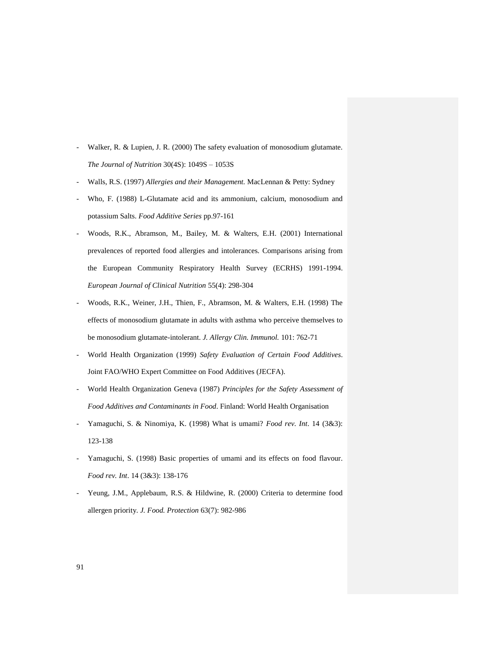- Walker, R. & Lupien, J. R. (2000) The safety evaluation of monosodium glutamate. *The Journal of Nutrition* 30(4S): 1049S – 1053S
- Walls, R.S. (1997) *Allergies and their Management.* MacLennan & Petty: Sydney
- Who, F. (1988) L-Glutamate acid and its ammonium, calcium, monosodium and potassium Salts. *Food Additive Series* pp.97-161
- Woods, R.K., Abramson, M., Bailey, M. & Walters, E.H. (2001) International prevalences of reported food allergies and intolerances. Comparisons arising from the European Community Respiratory Health Survey (ECRHS) 1991-1994. *European Journal of Clinical Nutrition* 55(4): 298-304
- Woods, R.K., Weiner, J.H., Thien, F., Abramson, M. & Walters, E.H. (1998) The effects of monosodium glutamate in adults with asthma who perceive themselves to be monosodium glutamate-intolerant. *J. Allergy Clin. Immunol.* 101: 762-71
- World Health Organization (1999) *Safety Evaluation of Certain Food Additives*. Joint FAO/WHO Expert Committee on Food Additives (JECFA).
- World Health Organization Geneva (1987) *Principles for the Safety Assessment of Food Additives and Contaminants in Food*. Finland: World Health Organisation
- Yamaguchi, S. & Ninomiya, K. (1998) What is umami? *Food rev. Int*. 14 (3&3): 123-138
- Yamaguchi, S. (1998) Basic properties of umami and its effects on food flavour. *Food rev. Int*. 14 (3&3): 138-176
- Yeung, J.M., Applebaum, R.S. & Hildwine, R. (2000) Criteria to determine food allergen priority. *J. Food. Protection* 63(7): 982-986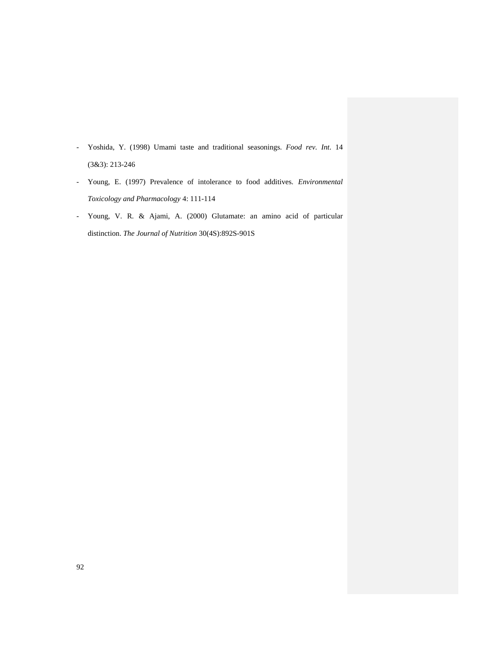- Yoshida, Y. (1998) Umami taste and traditional seasonings. *Food rev. Int*. 14 (3&3): 213-246
- Young, E. (1997) Prevalence of intolerance to food additives. *Environmental Toxicology and Pharmacology* 4: 111-114
- Young, V. R. & Ajami, A. (2000) Glutamate: an amino acid of particular distinction. *The Journal of Nutrition* 30(4S):892S-901S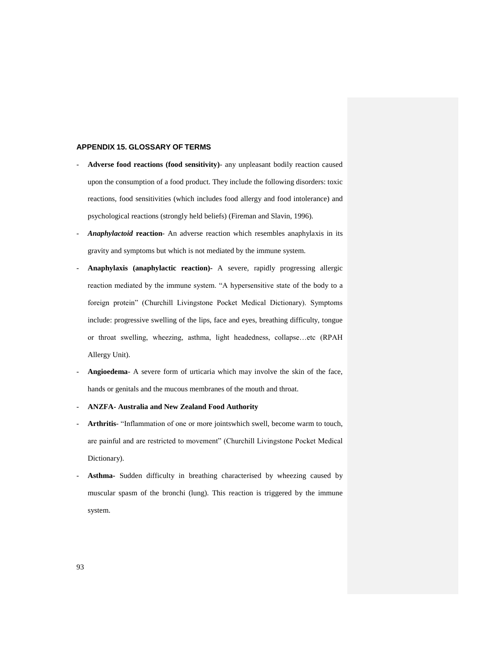#### **APPENDIX 15. GLOSSARY OF TERMS**

- **Adverse food reactions (food sensitivity)** any unpleasant bodily reaction caused upon the consumption of a food product. They include the following disorders: toxic reactions, food sensitivities (which includes food allergy and food intolerance) and psychological reactions (strongly held beliefs) (Fireman and Slavin, 1996).
- *Anaphylactoid* **reaction** An adverse reaction which resembles anaphylaxis in its gravity and symptoms but which is not mediated by the immune system.
- **Anaphylaxis (anaphylactic reaction)-** A severe, rapidly progressing allergic reaction mediated by the immune system. "A hypersensitive state of the body to a foreign protein" (Churchill Livingstone Pocket Medical Dictionary). Symptoms include: progressive swelling of the lips, face and eyes, breathing difficulty, tongue or throat swelling, wheezing, asthma, light headedness, collapse…etc (RPAH Allergy Unit).
- **Angioedema** A severe form of urticaria which may involve the skin of the face, hands or genitals and the mucous membranes of the mouth and throat.
- **ANZFA- Australia and New Zealand Food Authority**
- Arthritis- "Inflammation of one or more jointswhich swell, become warm to touch, are painful and are restricted to movement" (Churchill Livingstone Pocket Medical Dictionary).
- Asthma- Sudden difficulty in breathing characterised by wheezing caused by muscular spasm of the bronchi (lung). This reaction is triggered by the immune system.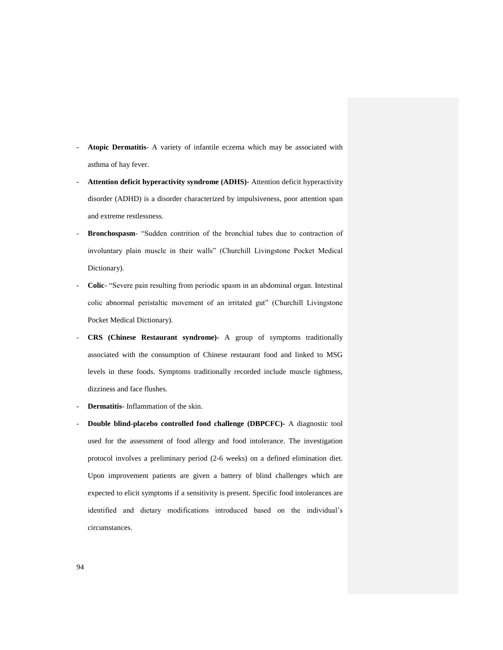- **Atopic Dermatitis** A variety of infantile eczema which may be associated with asthma of hay fever.
- Attention deficit hyperactivity syndrome (ADHS)- Attention deficit hyperactivity disorder (ADHD) is a disorder characterized by impulsiveness, poor attention span and extreme restlessness.
- **Bronchospasm-** "Sudden contrition of the bronchial tubes due to contraction of involuntary plain muscle in their walls" (Churchill Livingstone Pocket Medical Dictionary).
- **Colic** "Severe pain resulting from periodic spasm in an abdominal organ. Intestinal colic abnormal peristaltic movement of an irritated gut" (Churchill Livingstone Pocket Medical Dictionary).
- **CRS (Chinese Restaurant syndrome)-** A group of symptoms traditionally associated with the consumption of Chinese restaurant food and linked to MSG levels in these foods. Symptoms traditionally recorded include muscle tightness, dizziness and face flushes.
- **Dermatitis** Inflammation of the skin.
- **Double blind-placebo controlled food challenge (DBPCFC)-** A diagnostic tool used for the assessment of food allergy and food intolerance. The investigation protocol involves a preliminary period (2-6 weeks) on a defined elimination diet. Upon improvement patients are given a battery of blind challenges which are expected to elicit symptoms if a sensitivity is present. Specific food intolerances are identified and dietary modifications introduced based on the individual"s circumstances.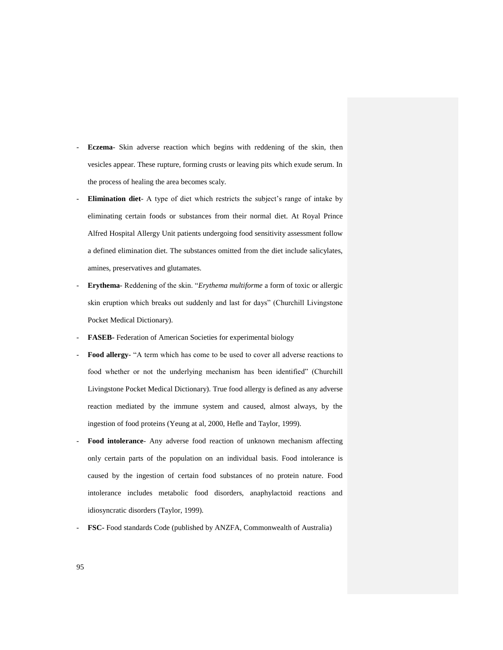- **Eczema** Skin adverse reaction which begins with reddening of the skin, then vesicles appear. These rupture, forming crusts or leaving pits which exude serum. In the process of healing the area becomes scaly.
- **Elimination diet** A type of diet which restricts the subject's range of intake by eliminating certain foods or substances from their normal diet. At Royal Prince Alfred Hospital Allergy Unit patients undergoing food sensitivity assessment follow a defined elimination diet. The substances omitted from the diet include salicylates, amines, preservatives and glutamates.
- **Erythema** Reddening of the skin. "*Erythema multiforme* a form of toxic or allergic skin eruption which breaks out suddenly and last for days" (Churchill Livingstone Pocket Medical Dictionary).
- **FASEB-** Federation of American Societies for experimental biology
- Food allergy- "A term which has come to be used to cover all adverse reactions to food whether or not the underlying mechanism has been identified" (Churchill Livingstone Pocket Medical Dictionary). True food allergy is defined as any adverse reaction mediated by the immune system and caused, almost always, by the ingestion of food proteins (Yeung at al, 2000, Hefle and Taylor, 1999).
- **Food intolerance** Any adverse food reaction of unknown mechanism affecting only certain parts of the population on an individual basis. Food intolerance is caused by the ingestion of certain food substances of no protein nature. Food intolerance includes metabolic food disorders, anaphylactoid reactions and idiosyncratic disorders (Taylor, 1999).
- **FSC-** Food standards Code (published by ANZFA, Commonwealth of Australia)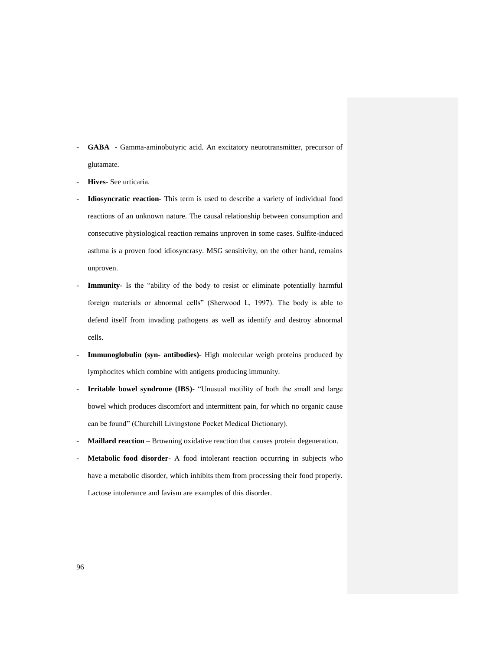- **GABA -** Gamma-aminobutyric acid. An excitatory neurotransmitter, precursor of glutamate.
- Hives- See urticaria.
- Idiosyncratic reaction- This term is used to describe a variety of individual food reactions of an unknown nature. The causal relationship between consumption and consecutive physiological reaction remains unproven in some cases. Sulfite-induced asthma is a proven food idiosyncrasy. MSG sensitivity, on the other hand, remains unproven.
- **Immunity** Is the "ability of the body to resist or eliminate potentially harmful foreign materials or abnormal cells" (Sherwood L, 1997). The body is able to defend itself from invading pathogens as well as identify and destroy abnormal cells.
- **Immunoglobulin (syn- antibodies)** High molecular weigh proteins produced by lymphocites which combine with antigens producing immunity.
- **Irritable bowel syndrome (IBS)-** "Unusual motility of both the small and large bowel which produces discomfort and intermittent pain, for which no organic cause can be found" (Churchill Livingstone Pocket Medical Dictionary).
- Maillard reaction Browning oxidative reaction that causes protein degeneration.
- Metabolic food disorder- A food intolerant reaction occurring in subjects who have a metabolic disorder, which inhibits them from processing their food properly. Lactose intolerance and favism are examples of this disorder.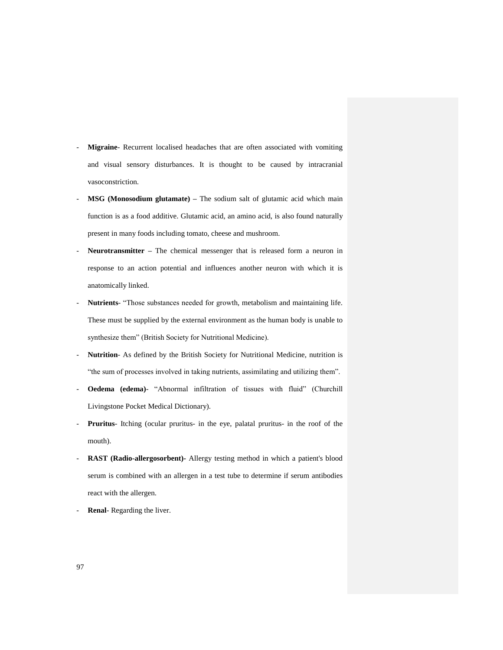- **Migraine** Recurrent localised headaches that are often associated with vomiting and visual sensory disturbances. It is thought to be caused by intracranial vasoconstriction.
- **MSG** (Monosodium glutamate) The sodium salt of glutamic acid which main function is as a food additive. Glutamic acid, an amino acid, is also found naturally present in many foods including tomato, cheese and mushroom.
- **Neurotransmitter** The chemical messenger that is released form a neuron in response to an action potential and influences another neuron with which it is anatomically linked.
- Nutrients- "Those substances needed for growth, metabolism and maintaining life. These must be supplied by the external environment as the human body is unable to synthesize them" (British Society for Nutritional Medicine).
- Nutrition- As defined by the British Society for Nutritional Medicine, nutrition is "the sum of processes involved in taking nutrients, assimilating and utilizing them".
- **Oedema (edema)** "Abnormal infiltration of tissues with fluid" (Churchill Livingstone Pocket Medical Dictionary).
- Pruritus- Itching (ocular pruritus- in the eye, palatal pruritus- in the roof of the mouth).
- RAST (Radio-allergosorbent)- Allergy testing method in which a patient's blood serum is combined with an allergen in a test tube to determine if serum antibodies react with the allergen.
- Renal-Regarding the liver.